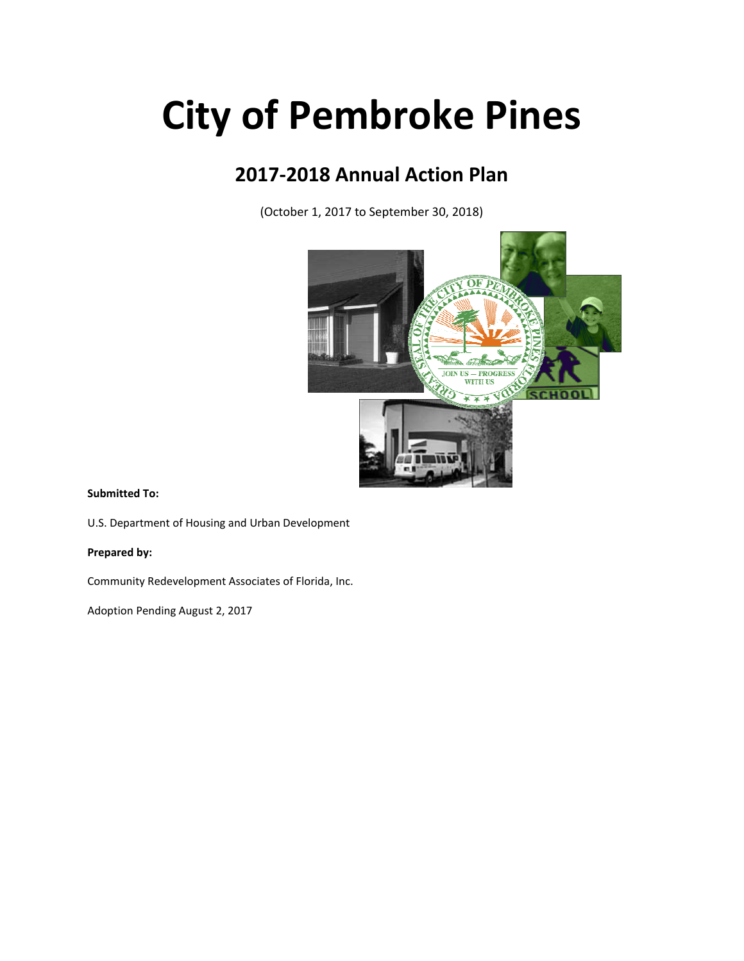# **City of Pembroke Pines**

# **2017‐2018 Annual Action Plan**

(October 1, 2017 to September 30, 2018)



#### **Submitted To:**

U.S. Department of Housing and Urban Development

**Prepared by:**

Community Redevelopment Associates of Florida, Inc.

Adoption Pending August 2, 2017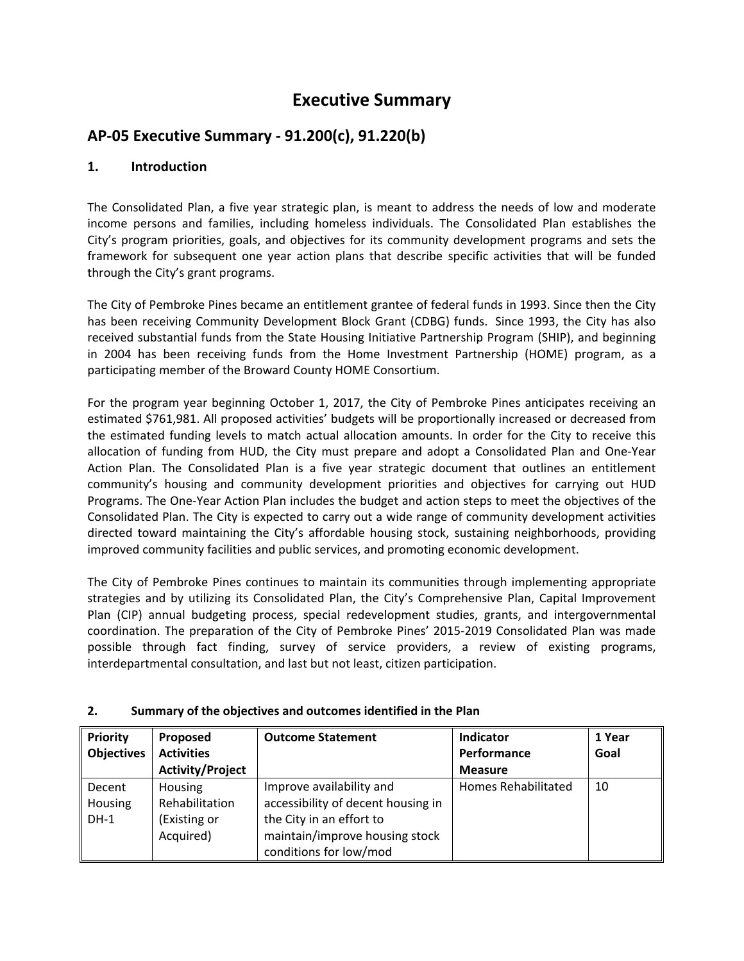# **Executive Summary**

# **AP‐05 Executive Summary ‐ 91.200(c), 91.220(b)**

#### **1. Introduction**

The Consolidated Plan, a five year strategic plan, is meant to address the needs of low and moderate income persons and families, including homeless individuals. The Consolidated Plan establishes the City's program priorities, goals, and objectives for its community development programs and sets the framework for subsequent one year action plans that describe specific activities that will be funded through the City's grant programs.

The City of Pembroke Pines became an entitlement grantee of federal funds in 1993. Since then the City has been receiving Community Development Block Grant (CDBG) funds. Since 1993, the City has also received substantial funds from the State Housing Initiative Partnership Program (SHIP), and beginning in 2004 has been receiving funds from the Home Investment Partnership (HOME) program, as a participating member of the Broward County HOME Consortium.

For the program year beginning October 1, 2017, the City of Pembroke Pines anticipates receiving an estimated \$761,981. All proposed activities' budgets will be proportionally increased or decreased from the estimated funding levels to match actual allocation amounts. In order for the City to receive this allocation of funding from HUD, the City must prepare and adopt a Consolidated Plan and One‐Year Action Plan. The Consolidated Plan is a five year strategic document that outlines an entitlement community's housing and community development priorities and objectives for carrying out HUD Programs. The One‐Year Action Plan includes the budget and action steps to meet the objectives of the Consolidated Plan. The City is expected to carry out a wide range of community development activities directed toward maintaining the City's affordable housing stock, sustaining neighborhoods, providing improved community facilities and public services, and promoting economic development.

The City of Pembroke Pines continues to maintain its communities through implementing appropriate strategies and by utilizing its Consolidated Plan, the City's Comprehensive Plan, Capital Improvement Plan (CIP) annual budgeting process, special redevelopment studies, grants, and intergovernmental coordination. The preparation of the City of Pembroke Pines' 2015‐2019 Consolidated Plan was made possible through fact finding, survey of service providers, a review of existing programs, interdepartmental consultation, and last but not least, citizen participation.

| <b>Priority</b>   | Proposed                | <b>Outcome Statement</b>           | Indicator           | 1 Year |
|-------------------|-------------------------|------------------------------------|---------------------|--------|
| <b>Objectives</b> | <b>Activities</b>       |                                    | Performance         | Goal   |
|                   | <b>Activity/Project</b> |                                    | <b>Measure</b>      |        |
| Decent            | Housing                 | Improve availability and           | Homes Rehabilitated | 10     |
| Housing           | Rehabilitation          | accessibility of decent housing in |                     |        |
| $DH-1$            | (Existing or            | the City in an effort to           |                     |        |
|                   | Acquired)               | maintain/improve housing stock     |                     |        |
|                   |                         | conditions for low/mod             |                     |        |

#### **2. Summary of the objectives and outcomes identified in the Plan**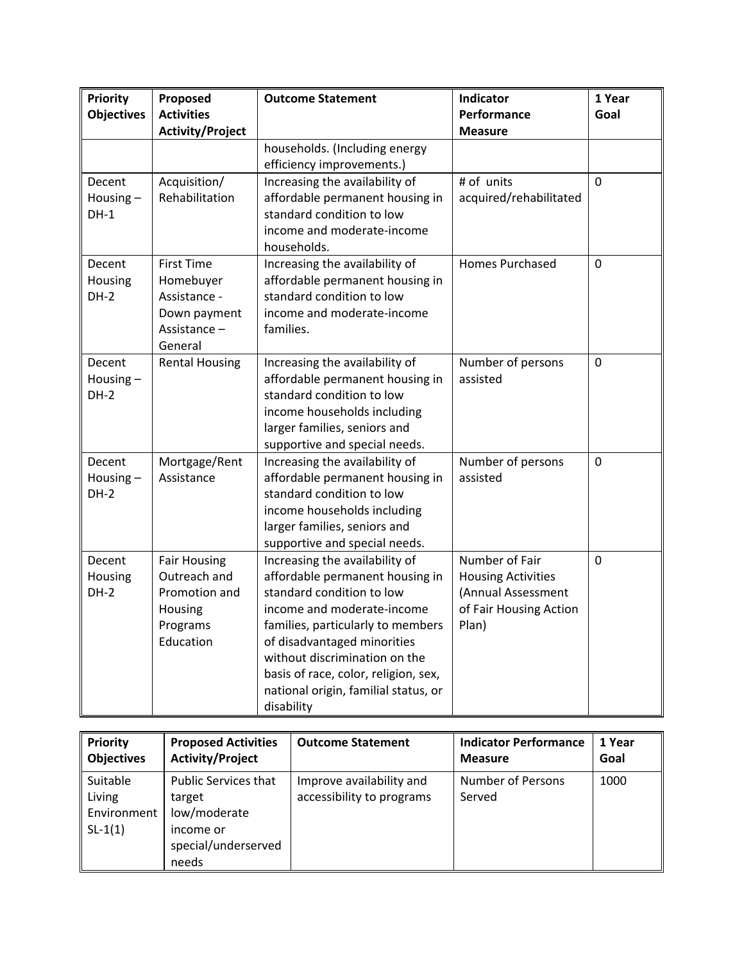| <b>Priority</b><br><b>Objectives</b> | Proposed<br><b>Activities</b>                                                             | <b>Outcome Statement</b>                                                                                                                                                                                                                                                                                                        | Indicator<br>Performance                                                                             | 1 Year<br>Goal |
|--------------------------------------|-------------------------------------------------------------------------------------------|---------------------------------------------------------------------------------------------------------------------------------------------------------------------------------------------------------------------------------------------------------------------------------------------------------------------------------|------------------------------------------------------------------------------------------------------|----------------|
|                                      | <b>Activity/Project</b>                                                                   |                                                                                                                                                                                                                                                                                                                                 | <b>Measure</b>                                                                                       |                |
|                                      |                                                                                           | households. (Including energy<br>efficiency improvements.)                                                                                                                                                                                                                                                                      |                                                                                                      |                |
| Decent<br>Housing $-$<br>$DH-1$      | Acquisition/<br>Rehabilitation                                                            | Increasing the availability of<br>affordable permanent housing in<br>standard condition to low<br>income and moderate-income<br>households.                                                                                                                                                                                     | # of units<br>acquired/rehabilitated                                                                 | $\mathbf 0$    |
| Decent<br>Housing<br>$DH-2$          | <b>First Time</b><br>Homebuyer<br>Assistance -<br>Down payment<br>Assistance -<br>General | Increasing the availability of<br>affordable permanent housing in<br>standard condition to low<br>income and moderate-income<br>families.                                                                                                                                                                                       | <b>Homes Purchased</b>                                                                               | $\Omega$       |
| Decent<br>Housing $-$<br>$DH-2$      | <b>Rental Housing</b>                                                                     | Increasing the availability of<br>affordable permanent housing in<br>standard condition to low<br>income households including<br>larger families, seniors and<br>supportive and special needs.                                                                                                                                  | Number of persons<br>assisted                                                                        | $\mathbf 0$    |
| Decent<br>Housing-<br>$DH-2$         | Mortgage/Rent<br>Assistance                                                               | Increasing the availability of<br>affordable permanent housing in<br>standard condition to low<br>income households including<br>larger families, seniors and<br>supportive and special needs.                                                                                                                                  | Number of persons<br>assisted                                                                        | $\mathbf 0$    |
| Decent<br>Housing<br>$DH-2$          | <b>Fair Housing</b><br>Outreach and<br>Promotion and<br>Housing<br>Programs<br>Education  | Increasing the availability of<br>affordable permanent housing in<br>standard condition to low<br>income and moderate-income<br>families, particularly to members<br>of disadvantaged minorities<br>without discrimination on the<br>basis of race, color, religion, sex,<br>national origin, familial status, or<br>disability | Number of Fair<br><b>Housing Activities</b><br>(Annual Assessment<br>of Fair Housing Action<br>Plan) | $\mathbf 0$    |

| Priority                                                             | <b>Proposed Activities</b>                                                                  | <b>Outcome Statement</b>                              | <b>Indicator Performance</b> | 1 Year |
|----------------------------------------------------------------------|---------------------------------------------------------------------------------------------|-------------------------------------------------------|------------------------------|--------|
| <b>Objectives</b>                                                    | <b>Activity/Project</b>                                                                     |                                                       | <b>Measure</b>               | Goal   |
| Suitable<br>$\parallel$ Living<br>Environment<br>$\parallel$ SL-1(1) | Public Services that<br>target<br>low/moderate<br>income or<br>special/underserved<br>needs | Improve availability and<br>accessibility to programs | Number of Persons<br>Served  | 1000   |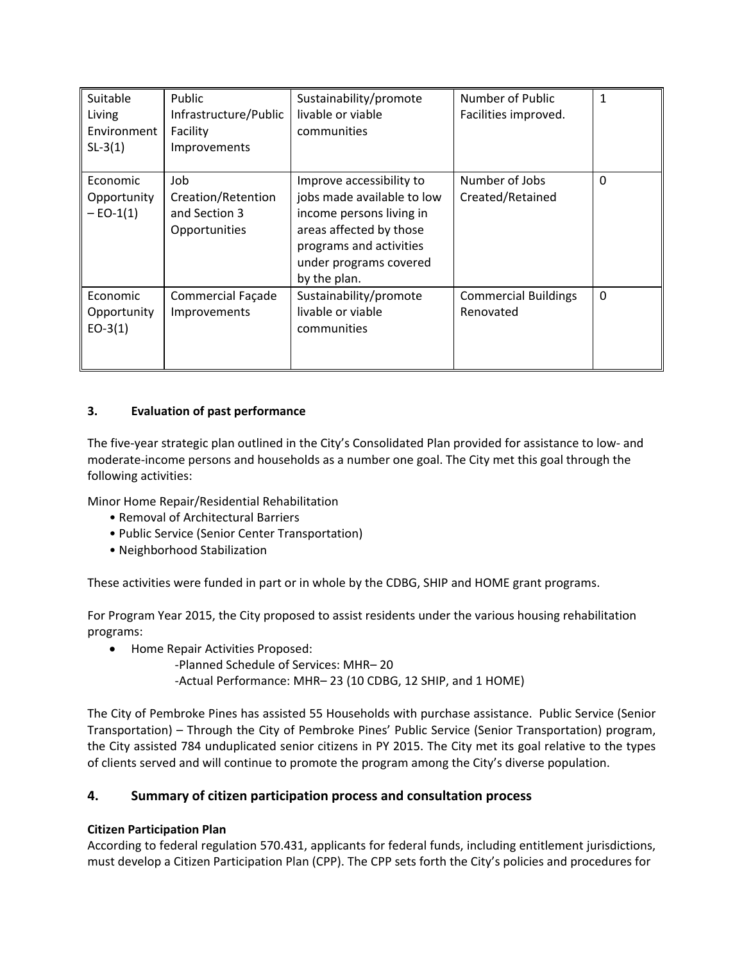| Suitable<br>Living<br>Environment<br>$SL-3(1)$ | Public<br>Infrastructure/Public<br>Facility<br>Improvements | Sustainability/promote<br>livable or viable<br>communities                                                                                                                         | Number of Public<br>Facilities improved. | $\mathbf{1}$ |
|------------------------------------------------|-------------------------------------------------------------|------------------------------------------------------------------------------------------------------------------------------------------------------------------------------------|------------------------------------------|--------------|
| Economic<br>Opportunity<br>$-$ EO-1(1)         | Job<br>Creation/Retention<br>and Section 3<br>Opportunities | Improve accessibility to<br>jobs made available to low<br>income persons living in<br>areas affected by those<br>programs and activities<br>under programs covered<br>by the plan. | Number of Jobs<br>Created/Retained       | $\Omega$     |
| Economic<br>Opportunity<br>$EO-3(1)$           | Commercial Façade<br>Improvements                           | Sustainability/promote<br>livable or viable<br>communities                                                                                                                         | <b>Commercial Buildings</b><br>Renovated | $\Omega$     |

#### **3. Evaluation of past performance**

The five‐year strategic plan outlined in the City's Consolidated Plan provided for assistance to low‐ and moderate-income persons and households as a number one goal. The City met this goal through the following activities:

Minor Home Repair/Residential Rehabilitation

- Removal of Architectural Barriers
- Public Service (Senior Center Transportation)
- Neighborhood Stabilization

These activities were funded in part or in whole by the CDBG, SHIP and HOME grant programs.

For Program Year 2015, the City proposed to assist residents under the various housing rehabilitation programs:

- Home Repair Activities Proposed:
	- ‐Planned Schedule of Services: MHR– 20
	- ‐Actual Performance: MHR– 23 (10 CDBG, 12 SHIP, and 1 HOME)

The City of Pembroke Pines has assisted 55 Households with purchase assistance. Public Service (Senior Transportation) – Through the City of Pembroke Pines' Public Service (Senior Transportation) program, the City assisted 784 unduplicated senior citizens in PY 2015. The City met its goal relative to the types of clients served and will continue to promote the program among the City's diverse population.

#### **4. Summary of citizen participation process and consultation process**

#### **Citizen Participation Plan**

According to federal regulation 570.431, applicants for federal funds, including entitlement jurisdictions, must develop a Citizen Participation Plan (CPP). The CPP sets forth the City's policies and procedures for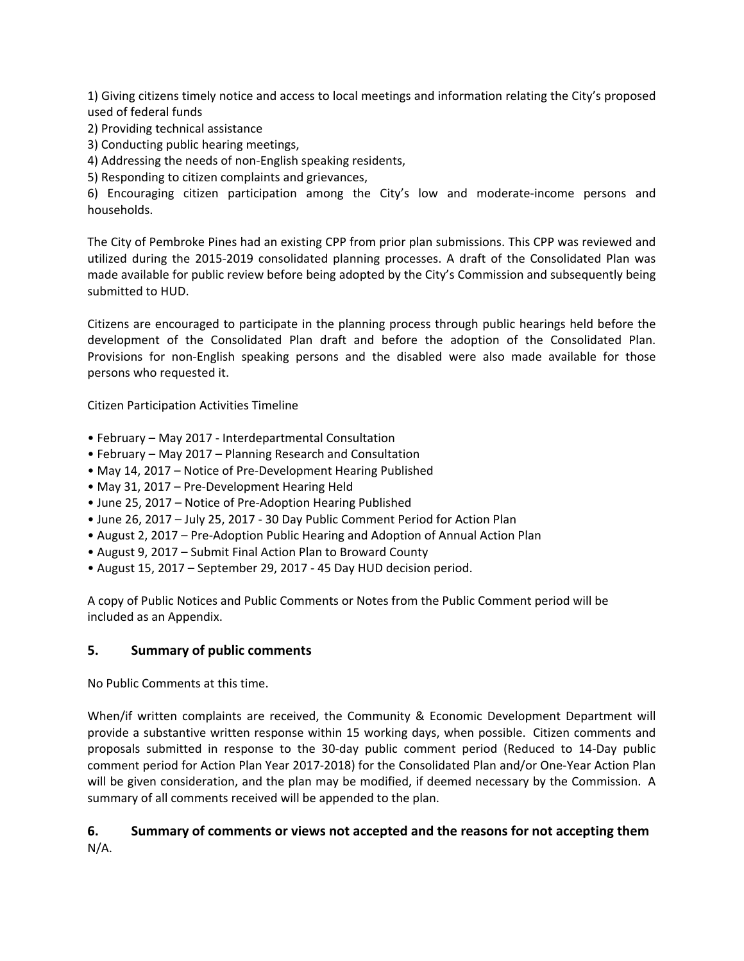1) Giving citizens timely notice and access to local meetings and information relating the City's proposed used of federal funds

- 2) Providing technical assistance
- 3) Conducting public hearing meetings,

4) Addressing the needs of non‐English speaking residents,

5) Responding to citizen complaints and grievances,

6) Encouraging citizen participation among the City's low and moderate‐income persons and households.

The City of Pembroke Pines had an existing CPP from prior plan submissions. This CPP was reviewed and utilized during the 2015‐2019 consolidated planning processes. A draft of the Consolidated Plan was made available for public review before being adopted by the City's Commission and subsequently being submitted to HUD.

Citizens are encouraged to participate in the planning process through public hearings held before the development of the Consolidated Plan draft and before the adoption of the Consolidated Plan. Provisions for non-English speaking persons and the disabled were also made available for those persons who requested it.

Citizen Participation Activities Timeline

- February May 2017 ‐ Interdepartmental Consultation
- February May 2017 Planning Research and Consultation
- May 14, 2017 Notice of Pre‐Development Hearing Published
- May 31, 2017 Pre‐Development Hearing Held
- June 25, 2017 Notice of Pre‐Adoption Hearing Published
- June 26, 2017 July 25, 2017 ‐ 30 Day Public Comment Period for Action Plan
- August 2, 2017 Pre‐Adoption Public Hearing and Adoption of Annual Action Plan
- August 9, 2017 Submit Final Action Plan to Broward County
- August 15, 2017 September 29, 2017 ‐ 45 Day HUD decision period.

A copy of Public Notices and Public Comments or Notes from the Public Comment period will be included as an Appendix.

#### **5. Summary of public comments**

No Public Comments at this time.

When/if written complaints are received, the Community & Economic Development Department will provide a substantive written response within 15 working days, when possible. Citizen comments and proposals submitted in response to the 30‐day public comment period (Reduced to 14‐Day public comment period for Action Plan Year 2017‐2018) for the Consolidated Plan and/or One‐Year Action Plan will be given consideration, and the plan may be modified, if deemed necessary by the Commission. A summary of all comments received will be appended to the plan.

# **6. Summary of comments or views not accepted and the reasons for not accepting them**

N/A.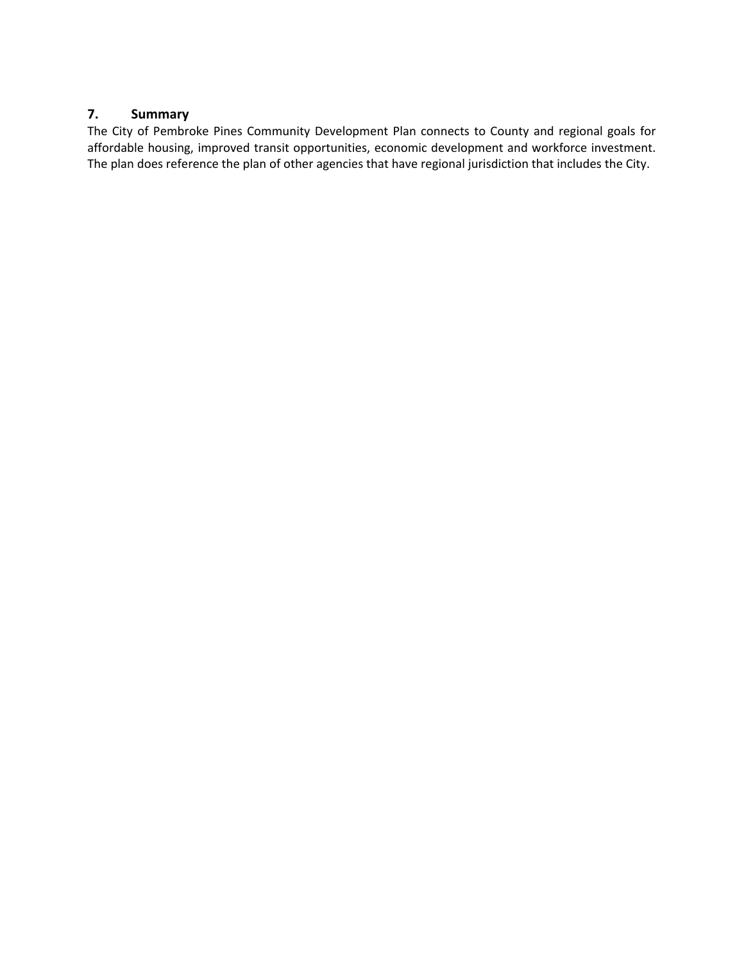## **7. Summary**

The City of Pembroke Pines Community Development Plan connects to County and regional goals for affordable housing, improved transit opportunities, economic development and workforce investment. The plan does reference the plan of other agencies that have regional jurisdiction that includes the City.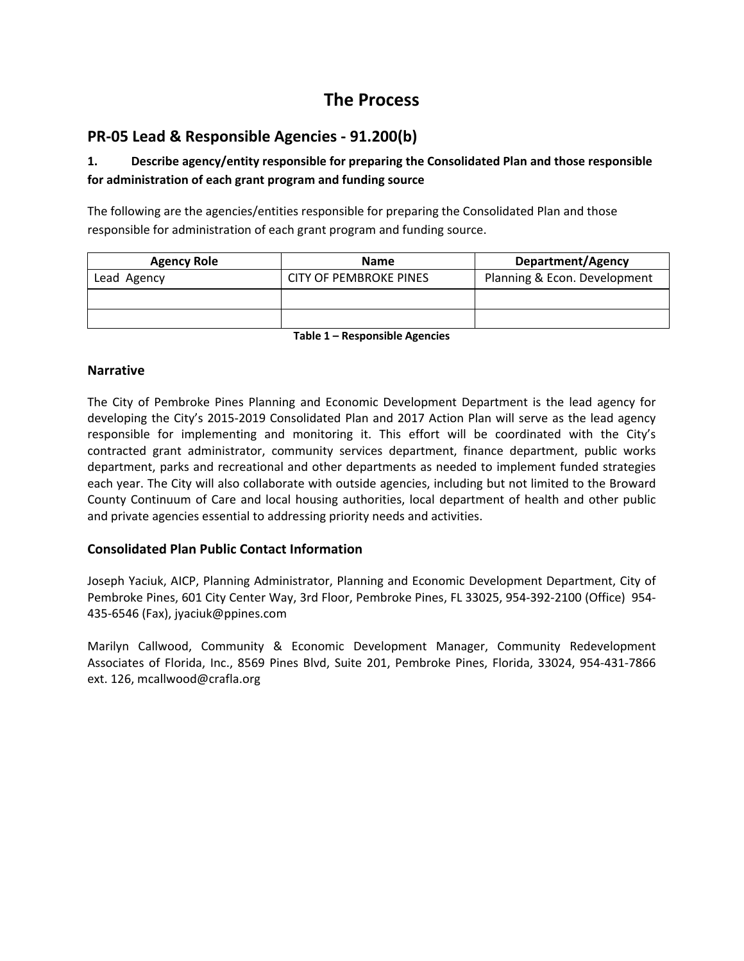# **The Process**

# **PR‐05 Lead & Responsible Agencies ‐ 91.200(b)**

## **1. Describe agency/entity responsible for preparing the Consolidated Plan and those responsible for administration of each grant program and funding source**

The following are the agencies/entities responsible for preparing the Consolidated Plan and those responsible for administration of each grant program and funding source.

| <b>Agency Role</b> | <b>Name</b>                   | <b>Department/Agency</b>     |  |  |  |
|--------------------|-------------------------------|------------------------------|--|--|--|
| Lead Agency        | <b>CITY OF PEMBROKE PINES</b> | Planning & Econ. Development |  |  |  |
|                    |                               |                              |  |  |  |
|                    |                               |                              |  |  |  |
| _ _<br>$\cdots$    |                               |                              |  |  |  |

**Table 1 – Responsible Agencies**

#### **Narrative**

The City of Pembroke Pines Planning and Economic Development Department is the lead agency for developing the City's 2015‐2019 Consolidated Plan and 2017 Action Plan will serve as the lead agency responsible for implementing and monitoring it. This effort will be coordinated with the City's contracted grant administrator, community services department, finance department, public works department, parks and recreational and other departments as needed to implement funded strategies each year. The City will also collaborate with outside agencies, including but not limited to the Broward County Continuum of Care and local housing authorities, local department of health and other public and private agencies essential to addressing priority needs and activities.

#### **Consolidated Plan Public Contact Information**

Joseph Yaciuk, AICP, Planning Administrator, Planning and Economic Development Department, City of Pembroke Pines, 601 City Center Way, 3rd Floor, Pembroke Pines, FL 33025, 954‐392‐2100 (Office) 954‐ 435‐6546 (Fax), jyaciuk@ppines.com

Marilyn Callwood, Community & Economic Development Manager, Community Redevelopment Associates of Florida, Inc., 8569 Pines Blvd, Suite 201, Pembroke Pines, Florida, 33024, 954‐431‐7866 ext. 126, mcallwood@crafla.org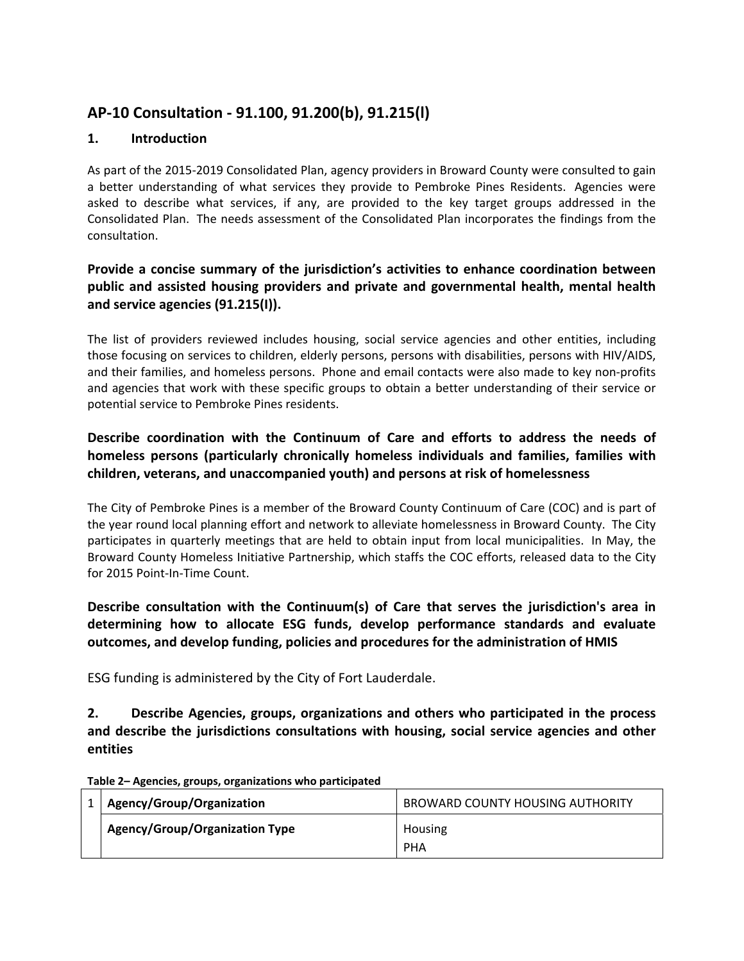# **AP‐10 Consultation ‐ 91.100, 91.200(b), 91.215(l)**

## **1. Introduction**

As part of the 2015‐2019 Consolidated Plan, agency providers in Broward County were consulted to gain a better understanding of what services they provide to Pembroke Pines Residents. Agencies were asked to describe what services, if any, are provided to the key target groups addressed in the Consolidated Plan. The needs assessment of the Consolidated Plan incorporates the findings from the consultation.

## **Provide a concise summary of the jurisdiction's activities to enhance coordination between public and assisted housing providers and private and governmental health, mental health and service agencies (91.215(I)).**

The list of providers reviewed includes housing, social service agencies and other entities, including those focusing on services to children, elderly persons, persons with disabilities, persons with HIV/AIDS, and their families, and homeless persons. Phone and email contacts were also made to key non‐profits and agencies that work with these specific groups to obtain a better understanding of their service or potential service to Pembroke Pines residents.

## **Describe coordination with the Continuum of Care and efforts to address the needs of homeless persons (particularly chronically homeless individuals and families, families with children, veterans, and unaccompanied youth) and persons at risk of homelessness**

The City of Pembroke Pines is a member of the Broward County Continuum of Care (COC) and is part of the year round local planning effort and network to alleviate homelessness in Broward County. The City participates in quarterly meetings that are held to obtain input from local municipalities. In May, the Broward County Homeless Initiative Partnership, which staffs the COC efforts, released data to the City for 2015 Point‐In‐Time Count.

## **Describe consultation with the Continuum(s) of Care that serves the jurisdiction's area in determining how to allocate ESG funds, develop performance standards and evaluate outcomes, and develop funding, policies and procedures for the administration of HMIS**

ESG funding is administered by the City of Fort Lauderdale.

**2. Describe Agencies, groups, organizations and others who participated in the process and describe the jurisdictions consultations with housing, social service agencies and other entities**

| Agency/Group/Organization             | BROWARD COUNTY HOUSING AUTHORITY |
|---------------------------------------|----------------------------------|
| <b>Agency/Group/Organization Type</b> | Housing<br>PHA                   |

**Table 2– Agencies, groups, organizations who participated**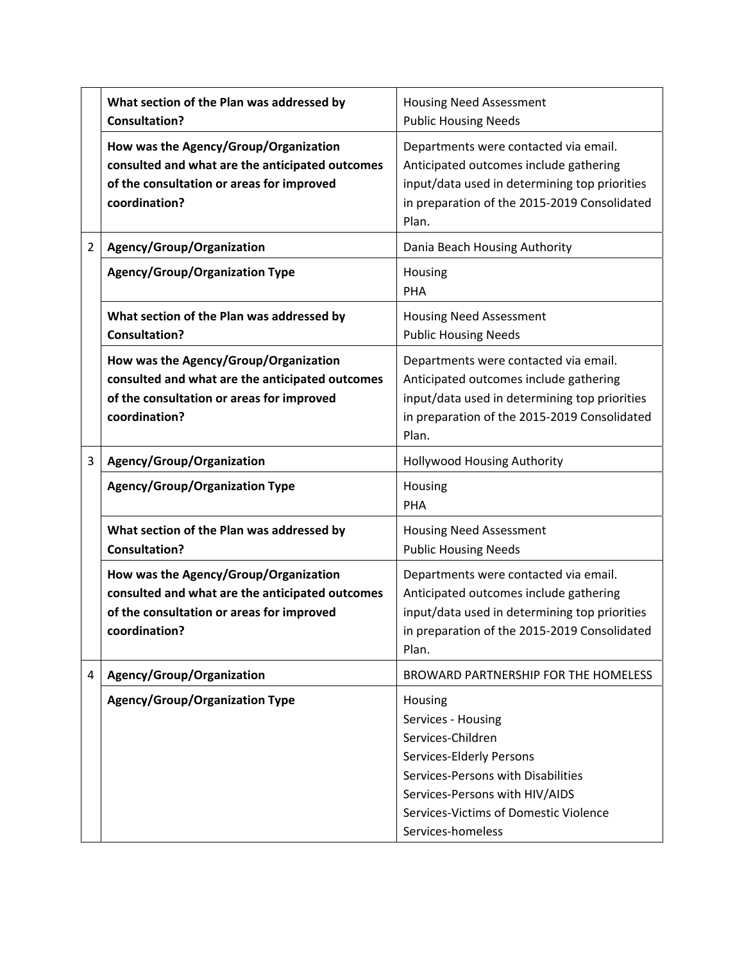|                | What section of the Plan was addressed by<br><b>Consultation?</b>                                                                                      | <b>Housing Need Assessment</b><br><b>Public Housing Needs</b>                                                                                                                                                        |
|----------------|--------------------------------------------------------------------------------------------------------------------------------------------------------|----------------------------------------------------------------------------------------------------------------------------------------------------------------------------------------------------------------------|
|                | How was the Agency/Group/Organization<br>consulted and what are the anticipated outcomes<br>of the consultation or areas for improved<br>coordination? | Departments were contacted via email.<br>Anticipated outcomes include gathering<br>input/data used in determining top priorities<br>in preparation of the 2015-2019 Consolidated<br>Plan.                            |
| $\overline{2}$ | Agency/Group/Organization                                                                                                                              | Dania Beach Housing Authority                                                                                                                                                                                        |
|                | Agency/Group/Organization Type                                                                                                                         | Housing<br>PHA                                                                                                                                                                                                       |
|                | What section of the Plan was addressed by<br><b>Consultation?</b>                                                                                      | <b>Housing Need Assessment</b><br><b>Public Housing Needs</b>                                                                                                                                                        |
|                | How was the Agency/Group/Organization<br>consulted and what are the anticipated outcomes<br>of the consultation or areas for improved<br>coordination? | Departments were contacted via email.<br>Anticipated outcomes include gathering<br>input/data used in determining top priorities<br>in preparation of the 2015-2019 Consolidated<br>Plan.                            |
| 3              | Agency/Group/Organization                                                                                                                              | Hollywood Housing Authority                                                                                                                                                                                          |
|                | <b>Agency/Group/Organization Type</b>                                                                                                                  | Housing<br><b>PHA</b>                                                                                                                                                                                                |
|                | What section of the Plan was addressed by<br><b>Consultation?</b>                                                                                      | <b>Housing Need Assessment</b><br><b>Public Housing Needs</b>                                                                                                                                                        |
|                | How was the Agency/Group/Organization<br>consulted and what are the anticipated outcomes<br>of the consultation or areas for improved<br>coordination? | Departments were contacted via email.<br>Anticipated outcomes include gathering<br>input/data used in determining top priorities<br>in preparation of the 2015-2019 Consolidated<br>Plan.                            |
| 4              | Agency/Group/Organization                                                                                                                              | BROWARD PARTNERSHIP FOR THE HOMELESS                                                                                                                                                                                 |
|                | <b>Agency/Group/Organization Type</b>                                                                                                                  | Housing<br>Services - Housing<br>Services-Children<br>Services-Elderly Persons<br>Services-Persons with Disabilities<br>Services-Persons with HIV/AIDS<br>Services-Victims of Domestic Violence<br>Services-homeless |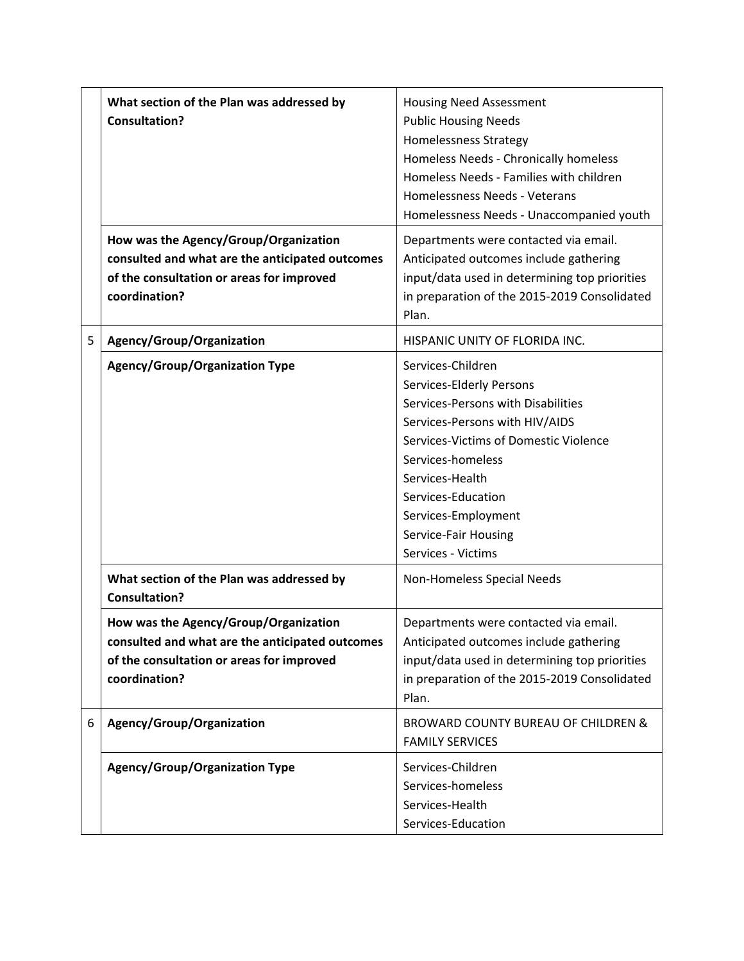|   | What section of the Plan was addressed by<br><b>Consultation?</b>                                                                                      | <b>Housing Need Assessment</b><br><b>Public Housing Needs</b><br><b>Homelessness Strategy</b><br>Homeless Needs - Chronically homeless<br>Homeless Needs - Families with children<br>Homelessness Needs - Veterans<br>Homelessness Needs - Unaccompanied youth                                    |  |
|---|--------------------------------------------------------------------------------------------------------------------------------------------------------|---------------------------------------------------------------------------------------------------------------------------------------------------------------------------------------------------------------------------------------------------------------------------------------------------|--|
|   | How was the Agency/Group/Organization<br>consulted and what are the anticipated outcomes<br>of the consultation or areas for improved<br>coordination? | Departments were contacted via email.<br>Anticipated outcomes include gathering<br>input/data used in determining top priorities<br>in preparation of the 2015-2019 Consolidated<br>Plan.                                                                                                         |  |
| 5 | Agency/Group/Organization                                                                                                                              | HISPANIC UNITY OF FLORIDA INC.                                                                                                                                                                                                                                                                    |  |
|   | <b>Agency/Group/Organization Type</b>                                                                                                                  | Services-Children<br>Services-Elderly Persons<br>Services-Persons with Disabilities<br>Services-Persons with HIV/AIDS<br>Services-Victims of Domestic Violence<br>Services-homeless<br>Services-Health<br>Services-Education<br>Services-Employment<br>Service-Fair Housing<br>Services - Victims |  |
|   | What section of the Plan was addressed by<br><b>Consultation?</b>                                                                                      | Non-Homeless Special Needs                                                                                                                                                                                                                                                                        |  |
|   | How was the Agency/Group/Organization<br>consulted and what are the anticipated outcomes<br>of the consultation or areas for improved<br>coordination? | Departments were contacted via email.<br>Anticipated outcomes include gathering<br>input/data used in determining top priorities<br>in preparation of the 2015-2019 Consolidated<br>Plan.                                                                                                         |  |
| 6 | Agency/Group/Organization                                                                                                                              | <b>BROWARD COUNTY BUREAU OF CHILDREN &amp;</b><br><b>FAMILY SERVICES</b>                                                                                                                                                                                                                          |  |
|   | <b>Agency/Group/Organization Type</b>                                                                                                                  | Services-Children<br>Services-homeless<br>Services-Health<br>Services-Education                                                                                                                                                                                                                   |  |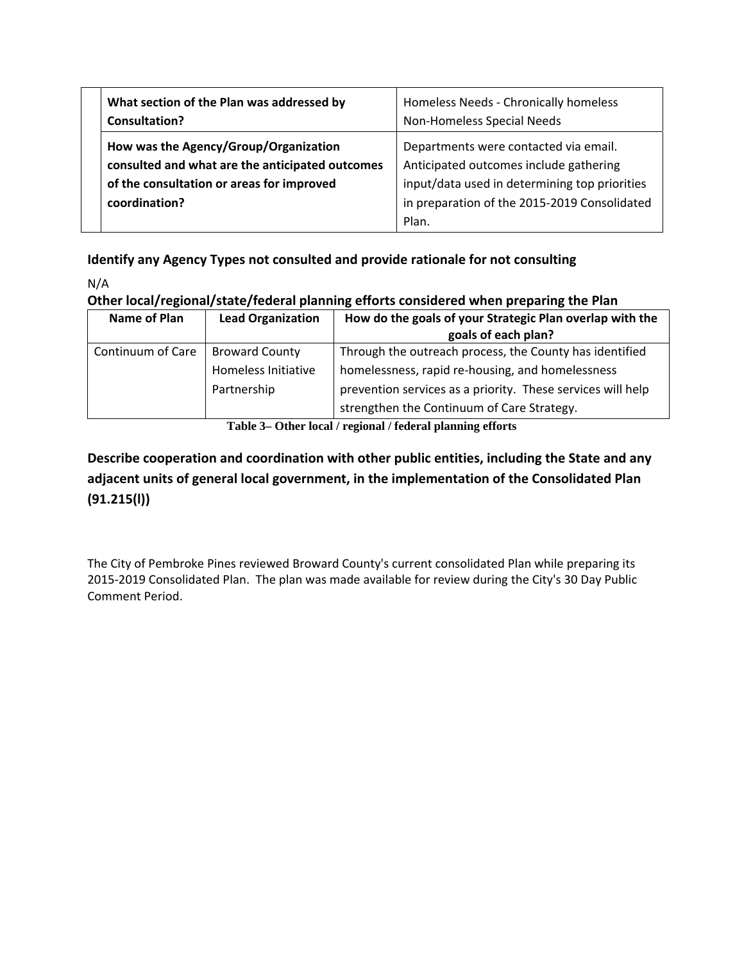| What section of the Plan was addressed by                                                                                                              | Homeless Needs - Chronically homeless                                                                                                                                                     |  |
|--------------------------------------------------------------------------------------------------------------------------------------------------------|-------------------------------------------------------------------------------------------------------------------------------------------------------------------------------------------|--|
| <b>Consultation?</b>                                                                                                                                   | Non-Homeless Special Needs                                                                                                                                                                |  |
| How was the Agency/Group/Organization<br>consulted and what are the anticipated outcomes<br>of the consultation or areas for improved<br>coordination? | Departments were contacted via email.<br>Anticipated outcomes include gathering<br>input/data used in determining top priorities<br>in preparation of the 2015-2019 Consolidated<br>Plan. |  |

# **Identify any Agency Types not consulted and provide rationale for not consulting**

N/A

## **Other local/regional/state/federal planning efforts considered when preparing the Plan**

| Name of Plan      | <b>Lead Organization</b>                                    | How do the goals of your Strategic Plan overlap with the<br>goals of each plan?                                                                                                                                          |
|-------------------|-------------------------------------------------------------|--------------------------------------------------------------------------------------------------------------------------------------------------------------------------------------------------------------------------|
| Continuum of Care | <b>Broward County</b><br>Homeless Initiative<br>Partnership | Through the outreach process, the County has identified<br>homelessness, rapid re-housing, and homelessness<br>prevention services as a priority. These services will help<br>strengthen the Continuum of Care Strategy. |

**Table 3– Other local / regional / federal planning efforts** 

# **Describe cooperation and coordination with other public entities, including the State and any adjacent units of general local government, in the implementation of the Consolidated Plan (91.215(l))**

The City of Pembroke Pines reviewed Broward County's current consolidated Plan while preparing its 2015-2019 Consolidated Plan. The plan was made available for review during the City's 30 Day Public Comment Period.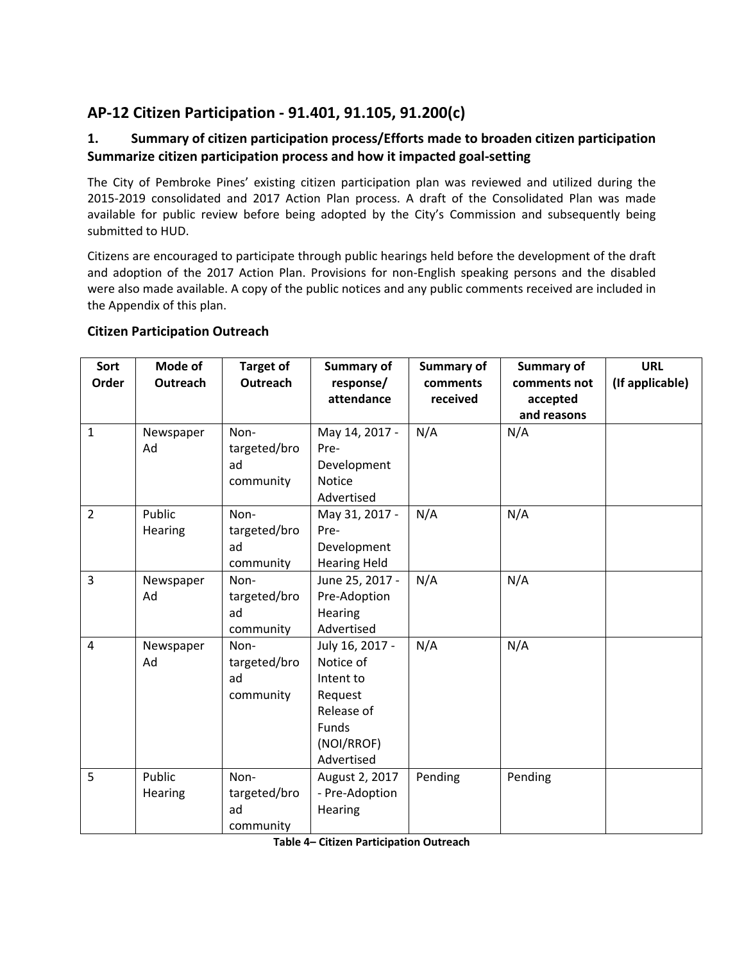# **AP‐12 Citizen Participation ‐ 91.401, 91.105, 91.200(c)**

## **1. Summary of citizen participation process/Efforts made to broaden citizen participation Summarize citizen participation process and how it impacted goal‐setting**

The City of Pembroke Pines' existing citizen participation plan was reviewed and utilized during the 2015-2019 consolidated and 2017 Action Plan process. A draft of the Consolidated Plan was made available for public review before being adopted by the City's Commission and subsequently being submitted to HUD.

Citizens are encouraged to participate through public hearings held before the development of the draft and adoption of the 2017 Action Plan. Provisions for non‐English speaking persons and the disabled were also made available. A copy of the public notices and any public comments received are included in the Appendix of this plan.

#### **Citizen Participation Outreach**

| Sort<br>Order  | Mode of<br>Outreach | <b>Target of</b><br>Outreach            | <b>Summary of</b><br>response/                                                                          | Summary of<br>comments | <b>Summary of</b><br>comments not | <b>URL</b><br>(If applicable) |
|----------------|---------------------|-----------------------------------------|---------------------------------------------------------------------------------------------------------|------------------------|-----------------------------------|-------------------------------|
|                |                     |                                         | attendance                                                                                              | received               | accepted<br>and reasons           |                               |
| $\mathbf{1}$   | Newspaper<br>Ad     | Non-<br>targeted/bro<br>ad<br>community | May 14, 2017 -<br>Pre-<br>Development<br>Notice<br>Advertised                                           | N/A                    | N/A                               |                               |
| $\overline{2}$ | Public<br>Hearing   | Non-<br>targeted/bro<br>ad<br>community | May 31, 2017 -<br>Pre-<br>Development<br><b>Hearing Held</b>                                            | N/A                    | N/A                               |                               |
| $\overline{3}$ | Newspaper<br>Ad     | Non-<br>targeted/bro<br>ad<br>community | June 25, 2017 -<br>Pre-Adoption<br><b>Hearing</b><br>Advertised                                         | N/A                    | N/A                               |                               |
| 4              | Newspaper<br>Ad     | Non-<br>targeted/bro<br>ad<br>community | July 16, 2017 -<br>Notice of<br>Intent to<br>Request<br>Release of<br>Funds<br>(NOI/RROF)<br>Advertised | N/A                    | N/A                               |                               |
| 5              | Public<br>Hearing   | Non-<br>targeted/bro<br>ad<br>community | August 2, 2017<br>- Pre-Adoption<br><b>Hearing</b>                                                      | Pending                | Pending                           |                               |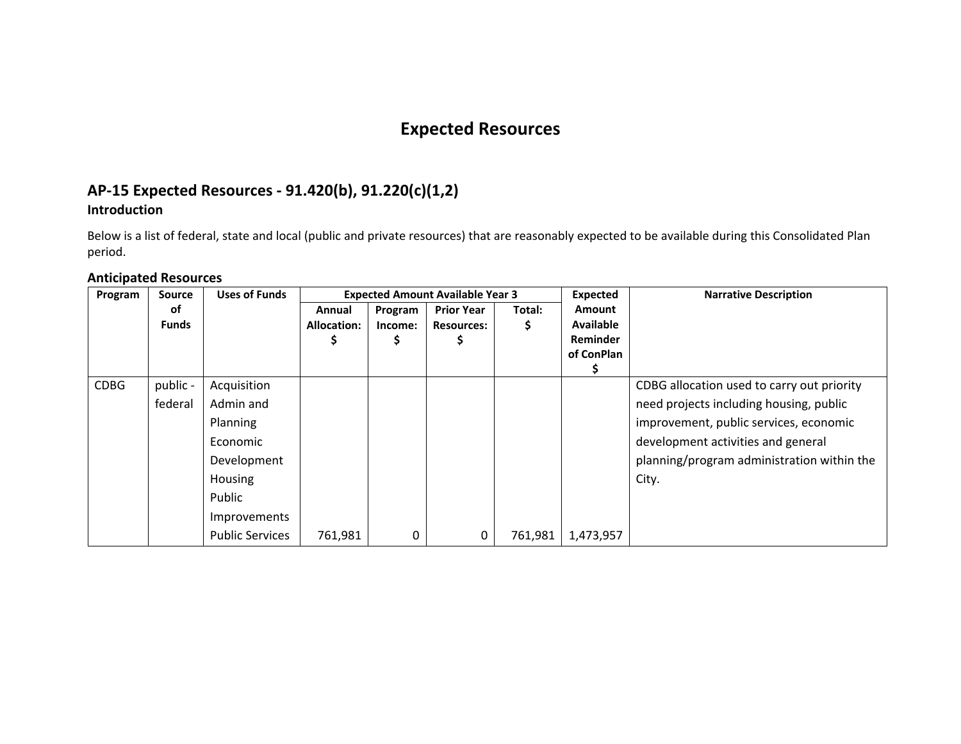# **Expected Resources**

## **AP‐15 Expected Resources ‐ 91.420(b), 91.220(c)(1,2) Introduction**

Below is <sup>a</sup> list of federal, state and local (public and private resources) that are reasonably expected to be available during this Consolidated Plan period.

#### **Anticipated Resources**

| Program     | <b>Source</b> | <b>Uses of Funds</b>   | <b>Expected Amount Available Year 3</b> |         |                   |         | Expected         | <b>Narrative Description</b>               |
|-------------|---------------|------------------------|-----------------------------------------|---------|-------------------|---------|------------------|--------------------------------------------|
|             | оf            |                        | Annual                                  | Program | <b>Prior Year</b> | Total:  | <b>Amount</b>    |                                            |
|             | <b>Funds</b>  |                        | <b>Allocation:</b>                      | Income: | <b>Resources:</b> |         | <b>Available</b> |                                            |
|             |               |                        |                                         |         |                   |         | <b>Reminder</b>  |                                            |
|             |               |                        |                                         |         |                   |         | of ConPlan       |                                            |
|             |               |                        |                                         |         |                   |         |                  |                                            |
| <b>CDBG</b> | public -      | Acquisition            |                                         |         |                   |         |                  | CDBG allocation used to carry out priority |
|             | federal       | Admin and              |                                         |         |                   |         |                  | need projects including housing, public    |
|             |               | Planning               |                                         |         |                   |         |                  | improvement, public services, economic     |
|             |               | Economic               |                                         |         |                   |         |                  | development activities and general         |
|             |               | Development            |                                         |         |                   |         |                  | planning/program administration within the |
|             |               | Housing                |                                         |         |                   |         |                  | City.                                      |
|             |               | Public                 |                                         |         |                   |         |                  |                                            |
|             |               | Improvements           |                                         |         |                   |         |                  |                                            |
|             |               | <b>Public Services</b> | 761,981                                 | 0       | 0                 | 761,981 | 1,473,957        |                                            |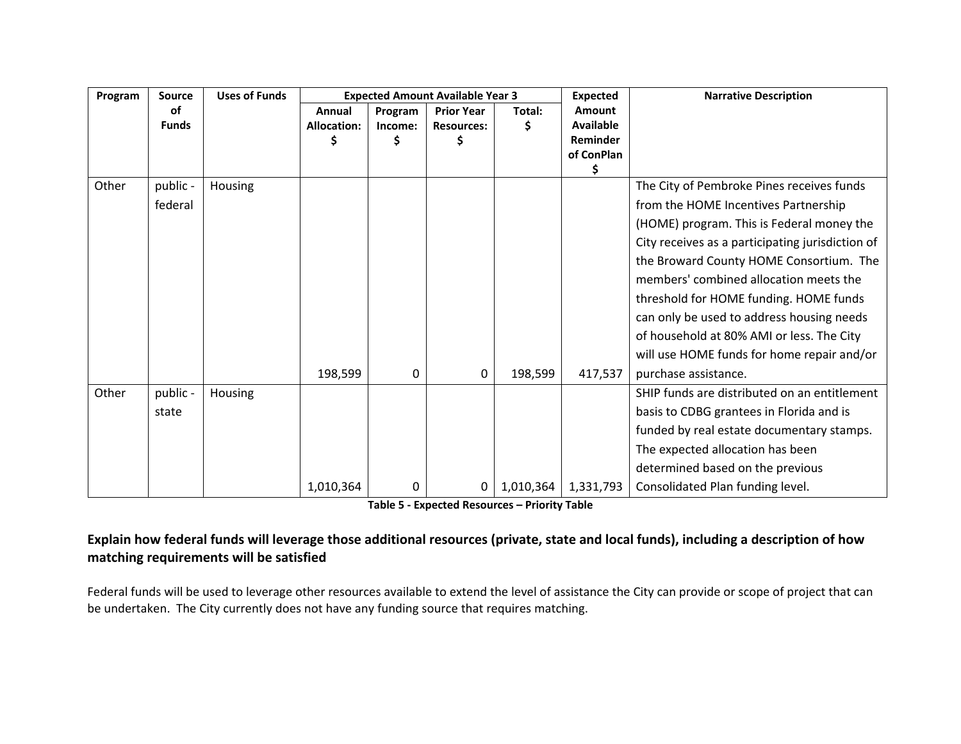| Program | <b>Source</b> | <b>Uses of Funds</b> |                    |         | <b>Expected Amount Available Year 3</b> |           | <b>Expected</b>  | <b>Narrative Description</b>                     |
|---------|---------------|----------------------|--------------------|---------|-----------------------------------------|-----------|------------------|--------------------------------------------------|
|         | of            |                      | Annual             | Program | <b>Prior Year</b>                       | Total:    | Amount           |                                                  |
|         | <b>Funds</b>  |                      | <b>Allocation:</b> | Income: | <b>Resources:</b>                       | S         | <b>Available</b> |                                                  |
|         |               |                      |                    | \$      | \$                                      |           | Reminder         |                                                  |
|         |               |                      |                    |         |                                         |           | of ConPlan<br>\$ |                                                  |
| Other   | public -      | Housing              |                    |         |                                         |           |                  | The City of Pembroke Pines receives funds        |
|         | federal       |                      |                    |         |                                         |           |                  | from the HOME Incentives Partnership             |
|         |               |                      |                    |         |                                         |           |                  | (HOME) program. This is Federal money the        |
|         |               |                      |                    |         |                                         |           |                  | City receives as a participating jurisdiction of |
|         |               |                      |                    |         |                                         |           |                  | the Broward County HOME Consortium. The          |
|         |               |                      |                    |         |                                         |           |                  | members' combined allocation meets the           |
|         |               |                      |                    |         |                                         |           |                  | threshold for HOME funding. HOME funds           |
|         |               |                      |                    |         |                                         |           |                  | can only be used to address housing needs        |
|         |               |                      |                    |         |                                         |           |                  | of household at 80% AMI or less. The City        |
|         |               |                      |                    |         |                                         |           |                  | will use HOME funds for home repair and/or       |
|         |               |                      | 198,599            | 0       | 0                                       | 198,599   | 417,537          | purchase assistance.                             |
| Other   | public -      | Housing              |                    |         |                                         |           |                  | SHIP funds are distributed on an entitlement     |
|         | state         |                      |                    |         |                                         |           |                  | basis to CDBG grantees in Florida and is         |
|         |               |                      |                    |         |                                         |           |                  | funded by real estate documentary stamps.        |
|         |               |                      |                    |         |                                         |           |                  | The expected allocation has been                 |
|         |               |                      |                    |         |                                         |           |                  | determined based on the previous                 |
|         |               |                      | 1,010,364          | 0       | $\mathbf 0$                             | 1,010,364 | 1,331,793        | Consolidated Plan funding level.                 |

**Table 5 ‐ Expected Resources – Priority Table**

## Explain how federal funds will leverage those additional resources (private, state and local funds), including a description of how **matching requirements will be satisfied**

Federal funds will be used to leverage other resources available to extend the level of assistance the City can provide or scope of project that can be undertaken. The City currently does not have any funding source that requires matching.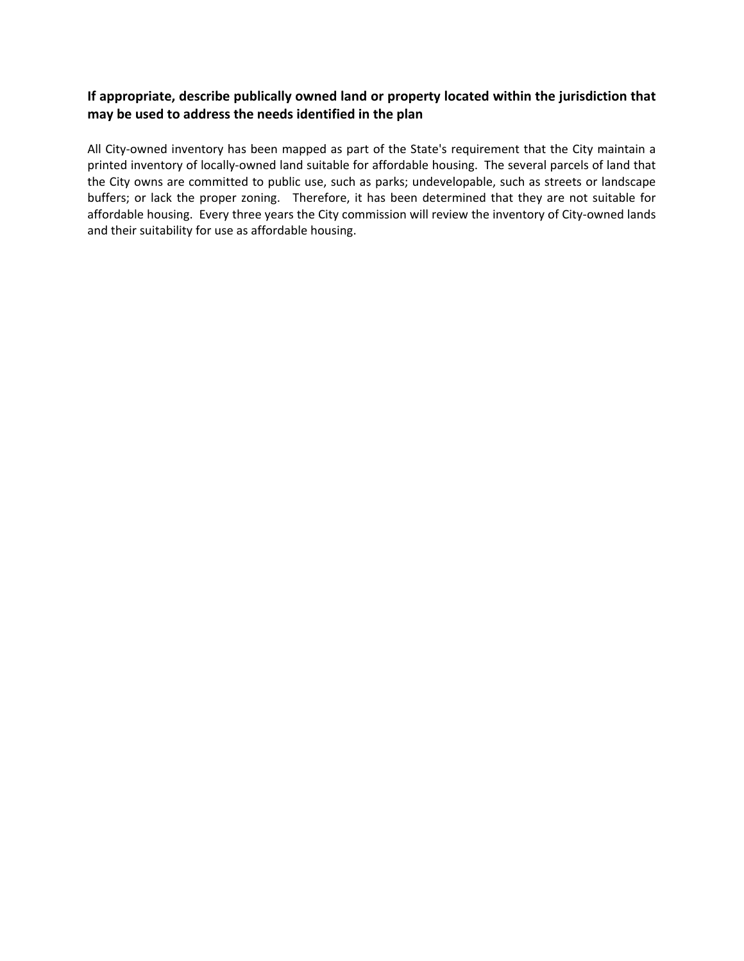#### **If appropriate, describe publically owned land or property located within the jurisdiction that may be used to address the needs identified in the plan**

All City-owned inventory has been mapped as part of the State's requirement that the City maintain a printed inventory of locally‐owned land suitable for affordable housing. The several parcels of land that the City owns are committed to public use, such as parks; undevelopable, such as streets or landscape buffers; or lack the proper zoning. Therefore, it has been determined that they are not suitable for affordable housing. Every three years the City commission will review the inventory of City-owned lands and their suitability for use as affordable housing.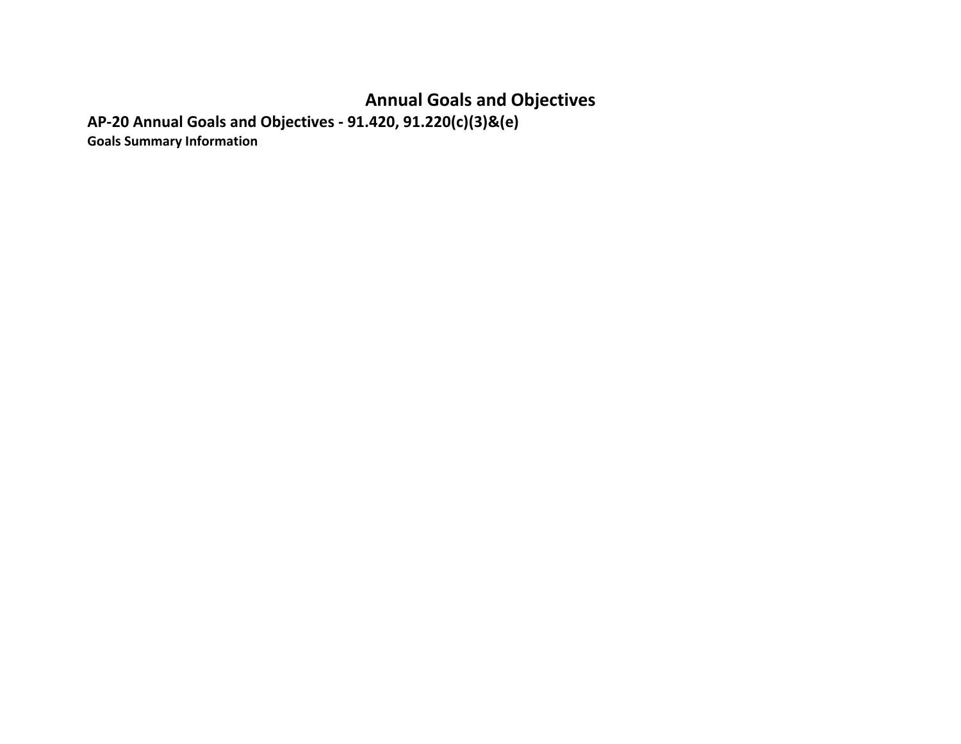# **Annual Goals and Objectives**

**AP‐20 Annual Goals and Objectives ‐ 91.420, 91.220(c)(3)&(e)**

**Goals Summary Information**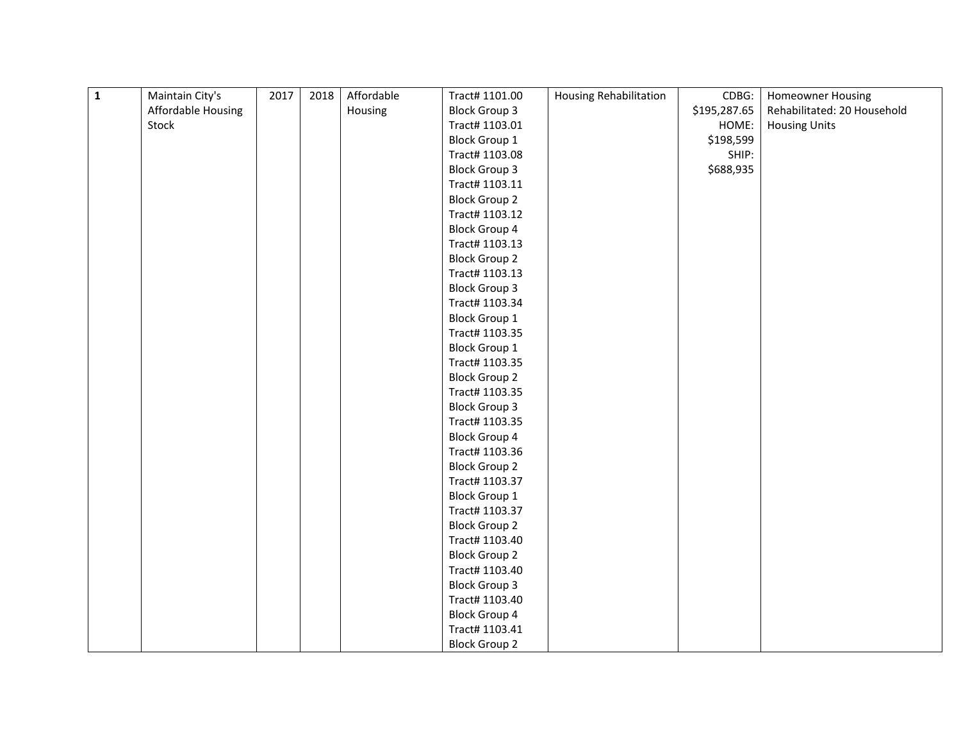| $\overline{1}$ | Maintain City's    | 2017 | 2018 | Affordable | Tract# 1101.00       | <b>Housing Rehabilitation</b> | CDBG:        | <b>Homeowner Housing</b>    |
|----------------|--------------------|------|------|------------|----------------------|-------------------------------|--------------|-----------------------------|
|                | Affordable Housing |      |      | Housing    | <b>Block Group 3</b> |                               | \$195,287.65 | Rehabilitated: 20 Household |
|                | Stock              |      |      |            | Tract# 1103.01       |                               | HOME:        | <b>Housing Units</b>        |
|                |                    |      |      |            | <b>Block Group 1</b> |                               | \$198,599    |                             |
|                |                    |      |      |            | Tract# 1103.08       |                               | SHIP:        |                             |
|                |                    |      |      |            | <b>Block Group 3</b> |                               | \$688,935    |                             |
|                |                    |      |      |            | Tract# 1103.11       |                               |              |                             |
|                |                    |      |      |            | <b>Block Group 2</b> |                               |              |                             |
|                |                    |      |      |            | Tract# 1103.12       |                               |              |                             |
|                |                    |      |      |            | <b>Block Group 4</b> |                               |              |                             |
|                |                    |      |      |            | Tract# 1103.13       |                               |              |                             |
|                |                    |      |      |            | <b>Block Group 2</b> |                               |              |                             |
|                |                    |      |      |            | Tract# 1103.13       |                               |              |                             |
|                |                    |      |      |            | <b>Block Group 3</b> |                               |              |                             |
|                |                    |      |      |            | Tract# 1103.34       |                               |              |                             |
|                |                    |      |      |            | <b>Block Group 1</b> |                               |              |                             |
|                |                    |      |      |            | Tract# 1103.35       |                               |              |                             |
|                |                    |      |      |            | <b>Block Group 1</b> |                               |              |                             |
|                |                    |      |      |            | Tract# 1103.35       |                               |              |                             |
|                |                    |      |      |            | <b>Block Group 2</b> |                               |              |                             |
|                |                    |      |      |            | Tract# 1103.35       |                               |              |                             |
|                |                    |      |      |            | <b>Block Group 3</b> |                               |              |                             |
|                |                    |      |      |            | Tract# 1103.35       |                               |              |                             |
|                |                    |      |      |            | <b>Block Group 4</b> |                               |              |                             |
|                |                    |      |      |            | Tract# 1103.36       |                               |              |                             |
|                |                    |      |      |            | <b>Block Group 2</b> |                               |              |                             |
|                |                    |      |      |            | Tract# 1103.37       |                               |              |                             |
|                |                    |      |      |            | <b>Block Group 1</b> |                               |              |                             |
|                |                    |      |      |            | Tract# 1103.37       |                               |              |                             |
|                |                    |      |      |            | <b>Block Group 2</b> |                               |              |                             |
|                |                    |      |      |            | Tract# 1103.40       |                               |              |                             |
|                |                    |      |      |            | <b>Block Group 2</b> |                               |              |                             |
|                |                    |      |      |            | Tract# 1103.40       |                               |              |                             |
|                |                    |      |      |            | <b>Block Group 3</b> |                               |              |                             |
|                |                    |      |      |            | Tract# 1103.40       |                               |              |                             |
|                |                    |      |      |            | <b>Block Group 4</b> |                               |              |                             |
|                |                    |      |      |            | Tract# 1103.41       |                               |              |                             |
|                |                    |      |      |            | <b>Block Group 2</b> |                               |              |                             |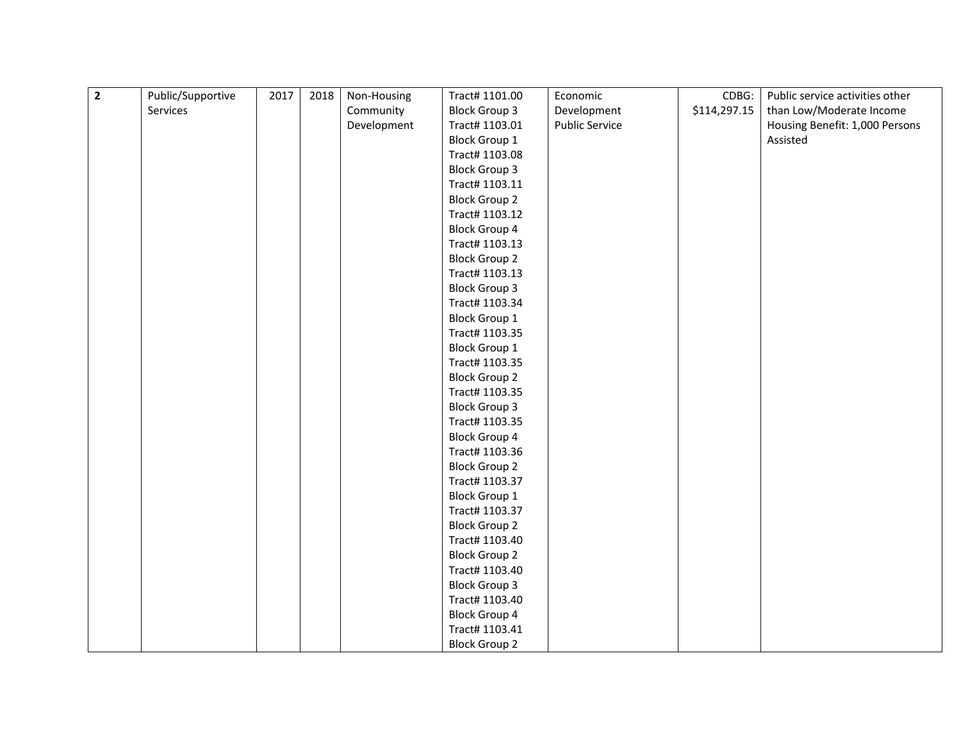| $\overline{\mathbf{2}}$ | Public/Supportive | 2017 | 2018 | Non-Housing | Tract# 1101.00       | Economic              | CDBG:        | Public service activities other |
|-------------------------|-------------------|------|------|-------------|----------------------|-----------------------|--------------|---------------------------------|
|                         | Services          |      |      | Community   | <b>Block Group 3</b> | Development           | \$114,297.15 | than Low/Moderate Income        |
|                         |                   |      |      | Development | Tract# 1103.01       | <b>Public Service</b> |              | Housing Benefit: 1,000 Persons  |
|                         |                   |      |      |             | <b>Block Group 1</b> |                       |              | Assisted                        |
|                         |                   |      |      |             | Tract# 1103.08       |                       |              |                                 |
|                         |                   |      |      |             | <b>Block Group 3</b> |                       |              |                                 |
|                         |                   |      |      |             | Tract# 1103.11       |                       |              |                                 |
|                         |                   |      |      |             | <b>Block Group 2</b> |                       |              |                                 |
|                         |                   |      |      |             | Tract# 1103.12       |                       |              |                                 |
|                         |                   |      |      |             | <b>Block Group 4</b> |                       |              |                                 |
|                         |                   |      |      |             | Tract# 1103.13       |                       |              |                                 |
|                         |                   |      |      |             | <b>Block Group 2</b> |                       |              |                                 |
|                         |                   |      |      |             | Tract# 1103.13       |                       |              |                                 |
|                         |                   |      |      |             | <b>Block Group 3</b> |                       |              |                                 |
|                         |                   |      |      |             | Tract# 1103.34       |                       |              |                                 |
|                         |                   |      |      |             | <b>Block Group 1</b> |                       |              |                                 |
|                         |                   |      |      |             | Tract# 1103.35       |                       |              |                                 |
|                         |                   |      |      |             | <b>Block Group 1</b> |                       |              |                                 |
|                         |                   |      |      |             | Tract# 1103.35       |                       |              |                                 |
|                         |                   |      |      |             | <b>Block Group 2</b> |                       |              |                                 |
|                         |                   |      |      |             | Tract# 1103.35       |                       |              |                                 |
|                         |                   |      |      |             | <b>Block Group 3</b> |                       |              |                                 |
|                         |                   |      |      |             | Tract# 1103.35       |                       |              |                                 |
|                         |                   |      |      |             | <b>Block Group 4</b> |                       |              |                                 |
|                         |                   |      |      |             | Tract# 1103.36       |                       |              |                                 |
|                         |                   |      |      |             | <b>Block Group 2</b> |                       |              |                                 |
|                         |                   |      |      |             | Tract# 1103.37       |                       |              |                                 |
|                         |                   |      |      |             | <b>Block Group 1</b> |                       |              |                                 |
|                         |                   |      |      |             | Tract# 1103.37       |                       |              |                                 |
|                         |                   |      |      |             | <b>Block Group 2</b> |                       |              |                                 |
|                         |                   |      |      |             | Tract# 1103.40       |                       |              |                                 |
|                         |                   |      |      |             | <b>Block Group 2</b> |                       |              |                                 |
|                         |                   |      |      |             | Tract# 1103.40       |                       |              |                                 |
|                         |                   |      |      |             | <b>Block Group 3</b> |                       |              |                                 |
|                         |                   |      |      |             | Tract# 1103.40       |                       |              |                                 |
|                         |                   |      |      |             | <b>Block Group 4</b> |                       |              |                                 |
|                         |                   |      |      |             | Tract# 1103.41       |                       |              |                                 |
|                         |                   |      |      |             | <b>Block Group 2</b> |                       |              |                                 |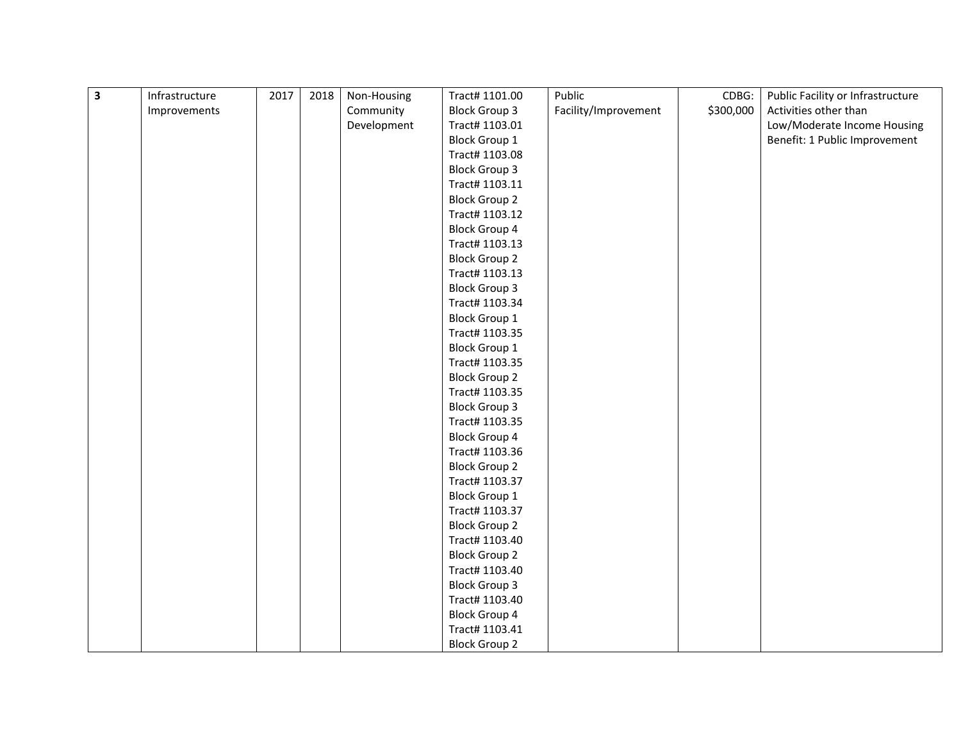| $\overline{\mathbf{3}}$ | Infrastructure | 2017 | 2018 | Non-Housing | Tract# 1101.00       | Public               | CDBG:     | Public Facility or Infrastructure |
|-------------------------|----------------|------|------|-------------|----------------------|----------------------|-----------|-----------------------------------|
|                         | Improvements   |      |      | Community   | <b>Block Group 3</b> | Facility/Improvement | \$300,000 | Activities other than             |
|                         |                |      |      | Development | Tract# 1103.01       |                      |           | Low/Moderate Income Housing       |
|                         |                |      |      |             | <b>Block Group 1</b> |                      |           | Benefit: 1 Public Improvement     |
|                         |                |      |      |             | Tract# 1103.08       |                      |           |                                   |
|                         |                |      |      |             | <b>Block Group 3</b> |                      |           |                                   |
|                         |                |      |      |             | Tract# 1103.11       |                      |           |                                   |
|                         |                |      |      |             | <b>Block Group 2</b> |                      |           |                                   |
|                         |                |      |      |             | Tract# 1103.12       |                      |           |                                   |
|                         |                |      |      |             | <b>Block Group 4</b> |                      |           |                                   |
|                         |                |      |      |             | Tract# 1103.13       |                      |           |                                   |
|                         |                |      |      |             | <b>Block Group 2</b> |                      |           |                                   |
|                         |                |      |      |             | Tract# 1103.13       |                      |           |                                   |
|                         |                |      |      |             | <b>Block Group 3</b> |                      |           |                                   |
|                         |                |      |      |             | Tract# 1103.34       |                      |           |                                   |
|                         |                |      |      |             | <b>Block Group 1</b> |                      |           |                                   |
|                         |                |      |      |             | Tract# 1103.35       |                      |           |                                   |
|                         |                |      |      |             | <b>Block Group 1</b> |                      |           |                                   |
|                         |                |      |      |             | Tract# 1103.35       |                      |           |                                   |
|                         |                |      |      |             | <b>Block Group 2</b> |                      |           |                                   |
|                         |                |      |      |             | Tract# 1103.35       |                      |           |                                   |
|                         |                |      |      |             | <b>Block Group 3</b> |                      |           |                                   |
|                         |                |      |      |             | Tract# 1103.35       |                      |           |                                   |
|                         |                |      |      |             | <b>Block Group 4</b> |                      |           |                                   |
|                         |                |      |      |             | Tract# 1103.36       |                      |           |                                   |
|                         |                |      |      |             | <b>Block Group 2</b> |                      |           |                                   |
|                         |                |      |      |             | Tract# 1103.37       |                      |           |                                   |
|                         |                |      |      |             | <b>Block Group 1</b> |                      |           |                                   |
|                         |                |      |      |             | Tract# 1103.37       |                      |           |                                   |
|                         |                |      |      |             | <b>Block Group 2</b> |                      |           |                                   |
|                         |                |      |      |             | Tract# 1103.40       |                      |           |                                   |
|                         |                |      |      |             | <b>Block Group 2</b> |                      |           |                                   |
|                         |                |      |      |             | Tract# 1103.40       |                      |           |                                   |
|                         |                |      |      |             | <b>Block Group 3</b> |                      |           |                                   |
|                         |                |      |      |             | Tract# 1103.40       |                      |           |                                   |
|                         |                |      |      |             | <b>Block Group 4</b> |                      |           |                                   |
|                         |                |      |      |             | Tract# 1103.41       |                      |           |                                   |
|                         |                |      |      |             | <b>Block Group 2</b> |                      |           |                                   |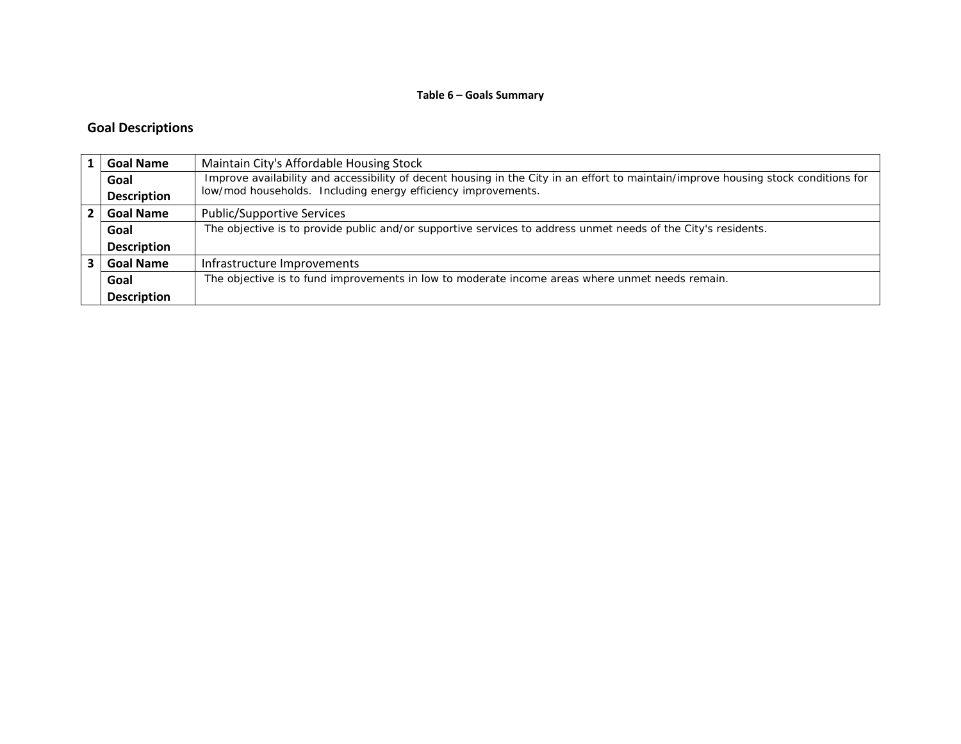#### **Table 6 – Goals Summary**

#### **Goal Descriptions**

| <b>Goal Name</b>   | Maintain City's Affordable Housing Stock                                                                                           |
|--------------------|------------------------------------------------------------------------------------------------------------------------------------|
| Goal               | Improve availability and accessibility of decent housing in the City in an effort to maintain/improve housing stock conditions for |
| <b>Description</b> | low/mod households. Including energy efficiency improvements.                                                                      |
| <b>Goal Name</b>   | <b>Public/Supportive Services</b>                                                                                                  |
| Goal               | The objective is to provide public and/or supportive services to address unmet needs of the City's residents.                      |
| <b>Description</b> |                                                                                                                                    |
| <b>Goal Name</b>   | Infrastructure Improvements                                                                                                        |
| Goal               | The objective is to fund improvements in low to moderate income areas where unmet needs remain.                                    |
| <b>Description</b> |                                                                                                                                    |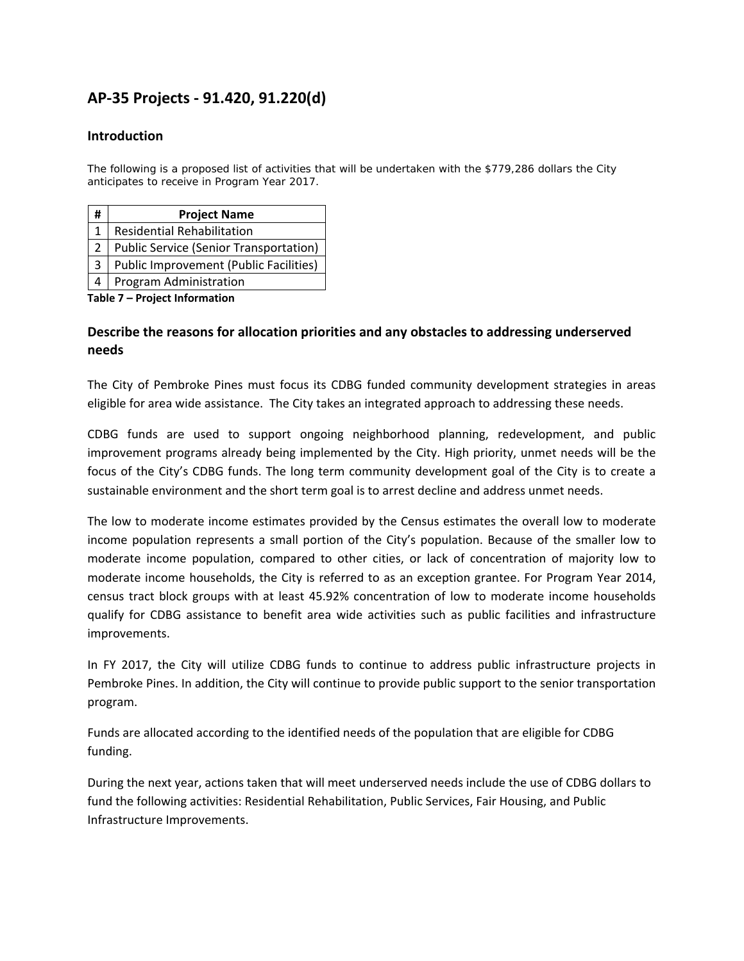# **AP‐35 Projects ‐ 91.420, 91.220(d)**

#### **Introduction**

The following is a proposed list of activities that will be undertaken with the \$779,286 dollars the City anticipates to receive in Program Year 2017.

| # | <b>Project Name</b>                           |
|---|-----------------------------------------------|
| 1 | <b>Residential Rehabilitation</b>             |
|   | <b>Public Service (Senior Transportation)</b> |
| 3 | <b>Public Improvement (Public Facilities)</b> |
|   | Program Administration                        |

**Table 7 – Project Information**

#### **Describe the reasons for allocation priorities and any obstacles to addressing underserved needs**

The City of Pembroke Pines must focus its CDBG funded community development strategies in areas eligible for area wide assistance. The City takes an integrated approach to addressing these needs.

CDBG funds are used to support ongoing neighborhood planning, redevelopment, and public improvement programs already being implemented by the City. High priority, unmet needs will be the focus of the City's CDBG funds. The long term community development goal of the City is to create a sustainable environment and the short term goal is to arrest decline and address unmet needs.

The low to moderate income estimates provided by the Census estimates the overall low to moderate income population represents a small portion of the City's population. Because of the smaller low to moderate income population, compared to other cities, or lack of concentration of majority low to moderate income households, the City is referred to as an exception grantee. For Program Year 2014, census tract block groups with at least 45.92% concentration of low to moderate income households qualify for CDBG assistance to benefit area wide activities such as public facilities and infrastructure improvements.

In FY 2017, the City will utilize CDBG funds to continue to address public infrastructure projects in Pembroke Pines. In addition, the City will continue to provide public support to the senior transportation program.

Funds are allocated according to the identified needs of the population that are eligible for CDBG funding.

During the next year, actions taken that will meet underserved needs include the use of CDBG dollars to fund the following activities: Residential Rehabilitation, Public Services, Fair Housing, and Public Infrastructure Improvements.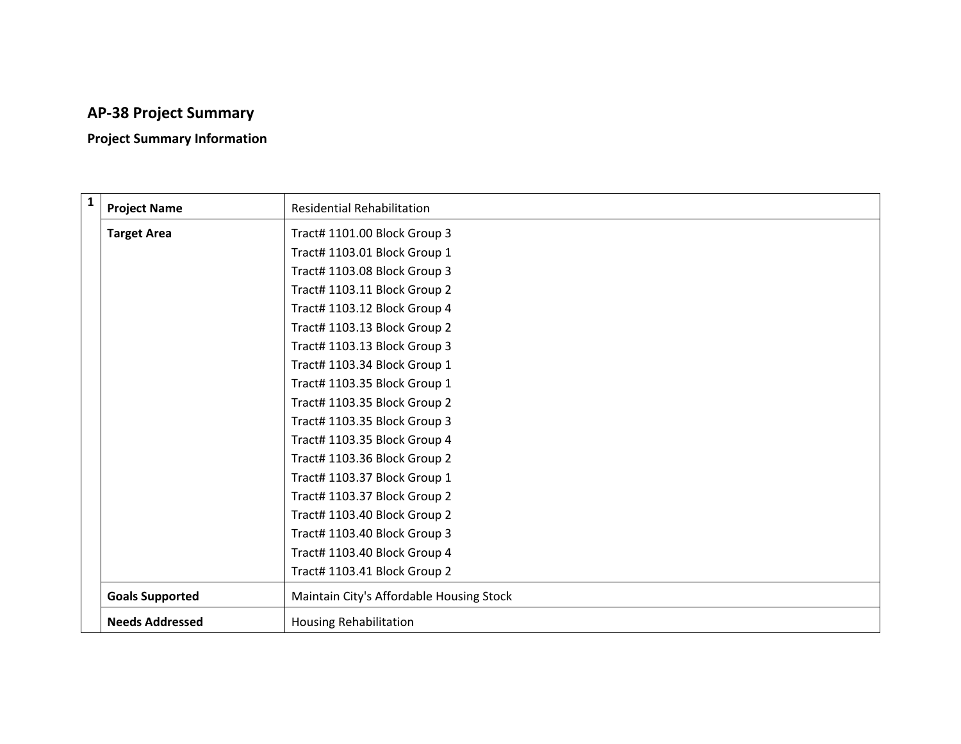# **AP‐38 Project Summary**

# **Project Summary Information**

| $\mathbf{1}$ | <b>Project Name</b>    | <b>Residential Rehabilitation</b>        |
|--------------|------------------------|------------------------------------------|
|              | <b>Target Area</b>     | Tract# 1101.00 Block Group 3             |
|              |                        | Tract# 1103.01 Block Group 1             |
|              |                        | Tract# 1103.08 Block Group 3             |
|              |                        | Tract# 1103.11 Block Group 2             |
|              |                        | Tract# 1103.12 Block Group 4             |
|              |                        | Tract# 1103.13 Block Group 2             |
|              |                        | Tract# 1103.13 Block Group 3             |
|              |                        | Tract# 1103.34 Block Group 1             |
|              |                        | Tract# 1103.35 Block Group 1             |
|              |                        | Tract# 1103.35 Block Group 2             |
|              |                        | Tract# 1103.35 Block Group 3             |
|              |                        | Tract# 1103.35 Block Group 4             |
|              |                        | Tract# 1103.36 Block Group 2             |
|              |                        | Tract# 1103.37 Block Group 1             |
|              |                        | Tract# 1103.37 Block Group 2             |
|              |                        | Tract# 1103.40 Block Group 2             |
|              |                        | Tract# 1103.40 Block Group 3             |
|              |                        | Tract# 1103.40 Block Group 4             |
|              |                        | Tract# 1103.41 Block Group 2             |
|              | <b>Goals Supported</b> | Maintain City's Affordable Housing Stock |
|              | <b>Needs Addressed</b> | <b>Housing Rehabilitation</b>            |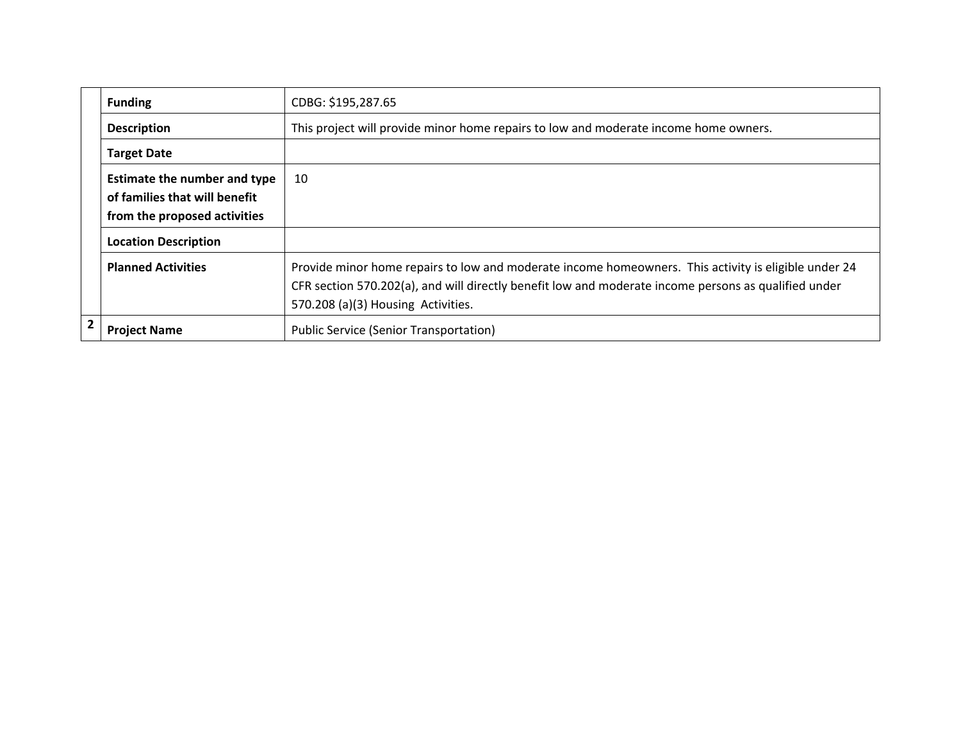|              | <b>Funding</b>                                                                                       | CDBG: \$195,287.65                                                                                                                                                                                                                                 |
|--------------|------------------------------------------------------------------------------------------------------|----------------------------------------------------------------------------------------------------------------------------------------------------------------------------------------------------------------------------------------------------|
|              | <b>Description</b>                                                                                   | This project will provide minor home repairs to low and moderate income home owners.                                                                                                                                                               |
|              | <b>Target Date</b>                                                                                   |                                                                                                                                                                                                                                                    |
|              | <b>Estimate the number and type</b><br>of families that will benefit<br>from the proposed activities | 10                                                                                                                                                                                                                                                 |
|              | <b>Location Description</b>                                                                          |                                                                                                                                                                                                                                                    |
|              | <b>Planned Activities</b>                                                                            | Provide minor home repairs to low and moderate income homeowners. This activity is eligible under 24<br>CFR section 570.202(a), and will directly benefit low and moderate income persons as qualified under<br>570.208 (a)(3) Housing Activities. |
| $\mathbf{2}$ | <b>Project Name</b>                                                                                  | <b>Public Service (Senior Transportation)</b>                                                                                                                                                                                                      |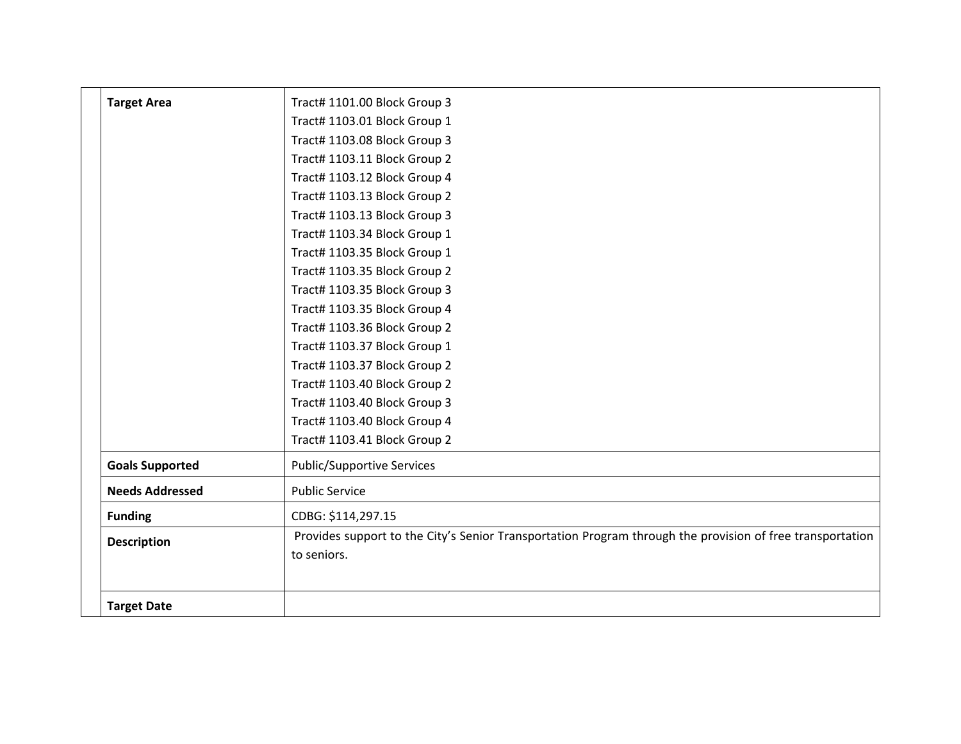| <b>Target Area</b>     | Tract# 1101.00 Block Group 3                                                                              |
|------------------------|-----------------------------------------------------------------------------------------------------------|
|                        |                                                                                                           |
|                        | Tract# 1103.01 Block Group 1                                                                              |
|                        | Tract# 1103.08 Block Group 3                                                                              |
|                        | Tract# 1103.11 Block Group 2                                                                              |
|                        | Tract# 1103.12 Block Group 4                                                                              |
|                        | Tract# 1103.13 Block Group 2                                                                              |
|                        | Tract# 1103.13 Block Group 3                                                                              |
|                        | Tract# 1103.34 Block Group 1                                                                              |
|                        | Tract# 1103.35 Block Group 1                                                                              |
|                        | Tract# 1103.35 Block Group 2                                                                              |
|                        | Tract# 1103.35 Block Group 3                                                                              |
|                        | Tract# 1103.35 Block Group 4                                                                              |
|                        | Tract# 1103.36 Block Group 2                                                                              |
|                        | Tract# 1103.37 Block Group 1                                                                              |
|                        | Tract# 1103.37 Block Group 2                                                                              |
|                        | Tract# 1103.40 Block Group 2                                                                              |
|                        | Tract# 1103.40 Block Group 3                                                                              |
|                        | Tract# 1103.40 Block Group 4                                                                              |
|                        | Tract# 1103.41 Block Group 2                                                                              |
| <b>Goals Supported</b> | Public/Supportive Services                                                                                |
| <b>Needs Addressed</b> | <b>Public Service</b>                                                                                     |
| <b>Funding</b>         | CDBG: \$114,297.15                                                                                        |
| <b>Description</b>     | Provides support to the City's Senior Transportation Program through the provision of free transportation |
|                        | to seniors.                                                                                               |
| <b>Target Date</b>     |                                                                                                           |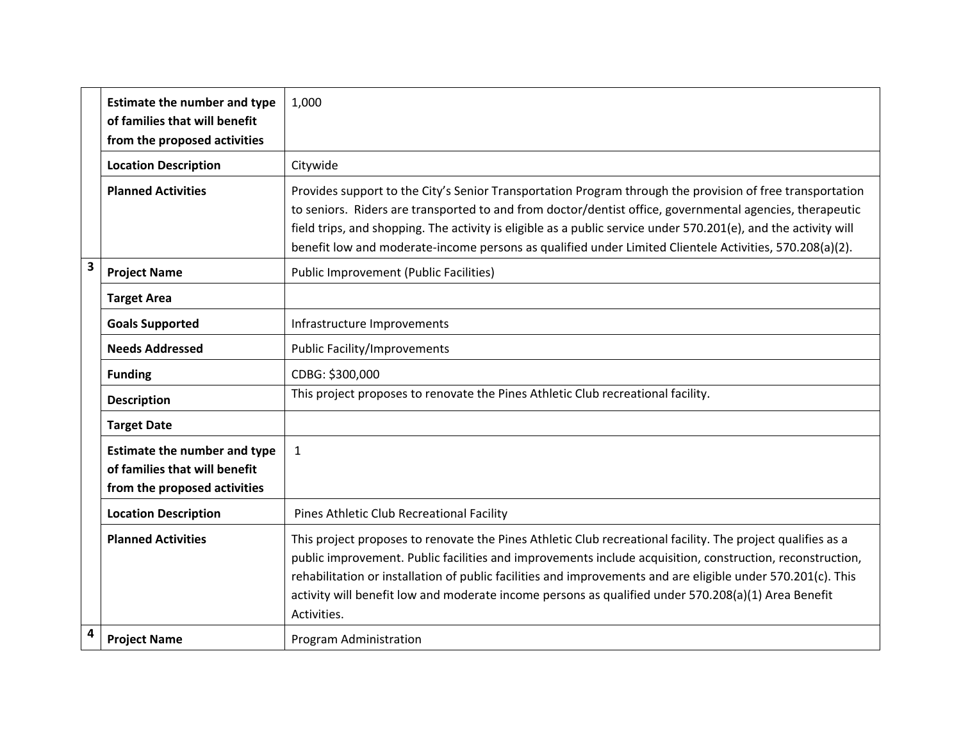|   | <b>Estimate the number and type</b><br>of families that will benefit<br>from the proposed activities | 1,000                                                                                                                                                                                                                                                                                                                                                                                                                                                          |
|---|------------------------------------------------------------------------------------------------------|----------------------------------------------------------------------------------------------------------------------------------------------------------------------------------------------------------------------------------------------------------------------------------------------------------------------------------------------------------------------------------------------------------------------------------------------------------------|
|   | <b>Location Description</b>                                                                          | Citywide                                                                                                                                                                                                                                                                                                                                                                                                                                                       |
|   | <b>Planned Activities</b>                                                                            | Provides support to the City's Senior Transportation Program through the provision of free transportation<br>to seniors. Riders are transported to and from doctor/dentist office, governmental agencies, therapeutic<br>field trips, and shopping. The activity is eligible as a public service under 570.201(e), and the activity will<br>benefit low and moderate-income persons as qualified under Limited Clientele Activities, 570.208(a)(2).            |
| 3 | <b>Project Name</b>                                                                                  | <b>Public Improvement (Public Facilities)</b>                                                                                                                                                                                                                                                                                                                                                                                                                  |
|   | <b>Target Area</b>                                                                                   |                                                                                                                                                                                                                                                                                                                                                                                                                                                                |
|   | <b>Goals Supported</b>                                                                               | Infrastructure Improvements                                                                                                                                                                                                                                                                                                                                                                                                                                    |
|   | <b>Needs Addressed</b>                                                                               | <b>Public Facility/Improvements</b>                                                                                                                                                                                                                                                                                                                                                                                                                            |
|   | <b>Funding</b>                                                                                       | CDBG: \$300,000                                                                                                                                                                                                                                                                                                                                                                                                                                                |
|   | <b>Description</b>                                                                                   | This project proposes to renovate the Pines Athletic Club recreational facility.                                                                                                                                                                                                                                                                                                                                                                               |
|   | <b>Target Date</b>                                                                                   |                                                                                                                                                                                                                                                                                                                                                                                                                                                                |
|   | <b>Estimate the number and type</b><br>of families that will benefit<br>from the proposed activities | $\mathbf{1}$                                                                                                                                                                                                                                                                                                                                                                                                                                                   |
|   | <b>Location Description</b>                                                                          | Pines Athletic Club Recreational Facility                                                                                                                                                                                                                                                                                                                                                                                                                      |
|   | <b>Planned Activities</b>                                                                            | This project proposes to renovate the Pines Athletic Club recreational facility. The project qualifies as a<br>public improvement. Public facilities and improvements include acquisition, construction, reconstruction,<br>rehabilitation or installation of public facilities and improvements and are eligible under 570.201(c). This<br>activity will benefit low and moderate income persons as qualified under 570.208(a)(1) Area Benefit<br>Activities. |
| 4 | <b>Project Name</b>                                                                                  | <b>Program Administration</b>                                                                                                                                                                                                                                                                                                                                                                                                                                  |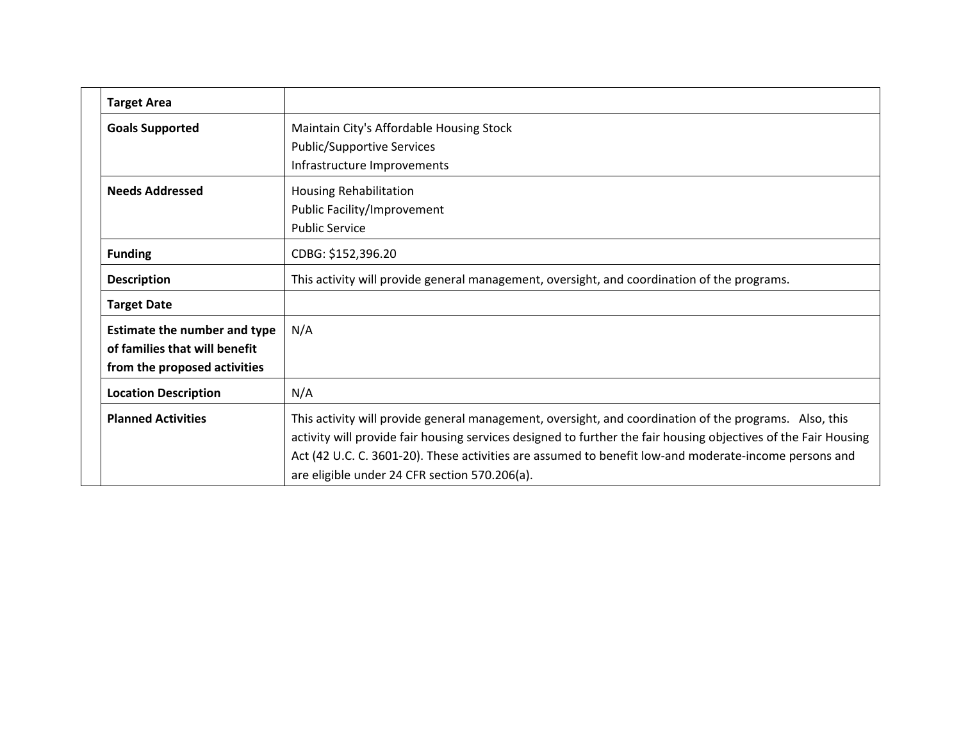| <b>Target Area</b>                                                                            |                                                                                                                                                                                                                                                                                                                                                                                     |
|-----------------------------------------------------------------------------------------------|-------------------------------------------------------------------------------------------------------------------------------------------------------------------------------------------------------------------------------------------------------------------------------------------------------------------------------------------------------------------------------------|
| <b>Goals Supported</b>                                                                        | Maintain City's Affordable Housing Stock<br><b>Public/Supportive Services</b><br>Infrastructure Improvements                                                                                                                                                                                                                                                                        |
| <b>Needs Addressed</b>                                                                        | Housing Rehabilitation<br>Public Facility/Improvement<br><b>Public Service</b>                                                                                                                                                                                                                                                                                                      |
| <b>Funding</b>                                                                                | CDBG: \$152,396.20                                                                                                                                                                                                                                                                                                                                                                  |
| <b>Description</b>                                                                            | This activity will provide general management, oversight, and coordination of the programs.                                                                                                                                                                                                                                                                                         |
| <b>Target Date</b>                                                                            |                                                                                                                                                                                                                                                                                                                                                                                     |
| Estimate the number and type<br>of families that will benefit<br>from the proposed activities | N/A                                                                                                                                                                                                                                                                                                                                                                                 |
| <b>Location Description</b>                                                                   | N/A                                                                                                                                                                                                                                                                                                                                                                                 |
| <b>Planned Activities</b>                                                                     | This activity will provide general management, oversight, and coordination of the programs. Also, this<br>activity will provide fair housing services designed to further the fair housing objectives of the Fair Housing<br>Act (42 U.C. C. 3601-20). These activities are assumed to benefit low-and moderate-income persons and<br>are eligible under 24 CFR section 570.206(a). |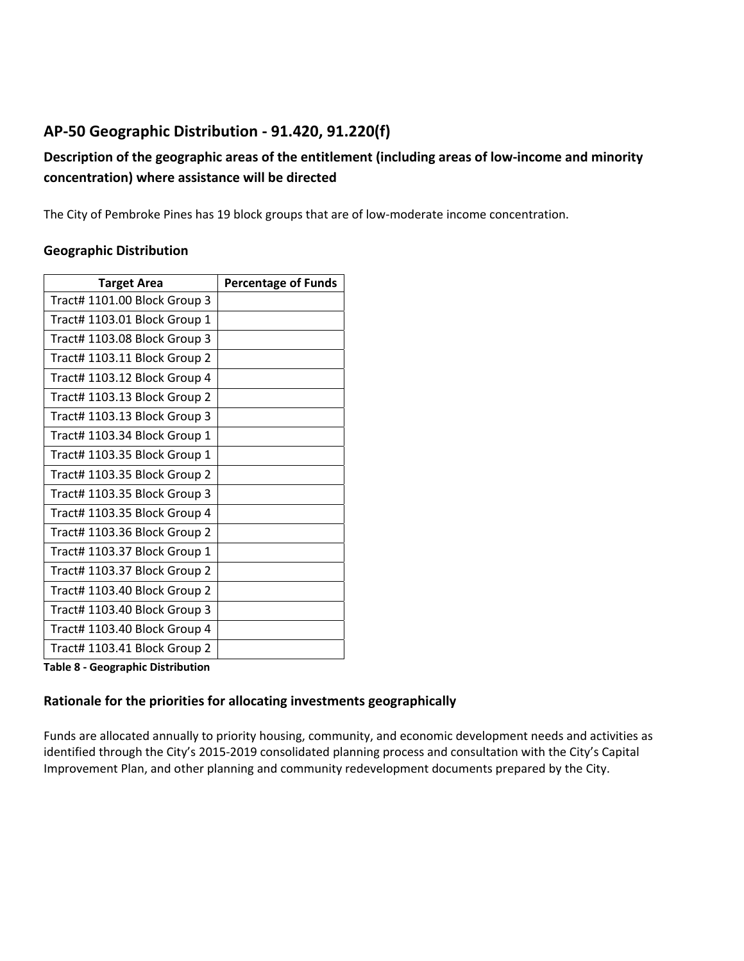# **AP‐50 Geographic Distribution ‐ 91.420, 91.220(f)**

# **Description of the geographic areas of the entitlement (including areas of low‐income and minority concentration) where assistance will be directed**

The City of Pembroke Pines has 19 block groups that are of low-moderate income concentration.

#### **Geographic Distribution**

| <b>Target Area</b>           | <b>Percentage of Funds</b> |
|------------------------------|----------------------------|
| Tract# 1101.00 Block Group 3 |                            |
| Tract# 1103.01 Block Group 1 |                            |
| Tract# 1103.08 Block Group 3 |                            |
| Tract# 1103.11 Block Group 2 |                            |
| Tract# 1103.12 Block Group 4 |                            |
| Tract# 1103.13 Block Group 2 |                            |
| Tract# 1103.13 Block Group 3 |                            |
| Tract# 1103.34 Block Group 1 |                            |
| Tract# 1103.35 Block Group 1 |                            |
| Tract# 1103.35 Block Group 2 |                            |
| Tract# 1103.35 Block Group 3 |                            |
| Tract# 1103.35 Block Group 4 |                            |
| Tract# 1103.36 Block Group 2 |                            |
| Tract# 1103.37 Block Group 1 |                            |
| Tract# 1103.37 Block Group 2 |                            |
| Tract# 1103.40 Block Group 2 |                            |
| Tract# 1103.40 Block Group 3 |                            |
| Tract# 1103.40 Block Group 4 |                            |
| Tract# 1103.41 Block Group 2 |                            |

**Table 8 ‐ Geographic Distribution** 

## **Rationale for the priorities for allocating investments geographically**

Funds are allocated annually to priority housing, community, and economic development needs and activities as identified through the City's 2015‐2019 consolidated planning process and consultation with the City's Capital Improvement Plan, and other planning and community redevelopment documents prepared by the City.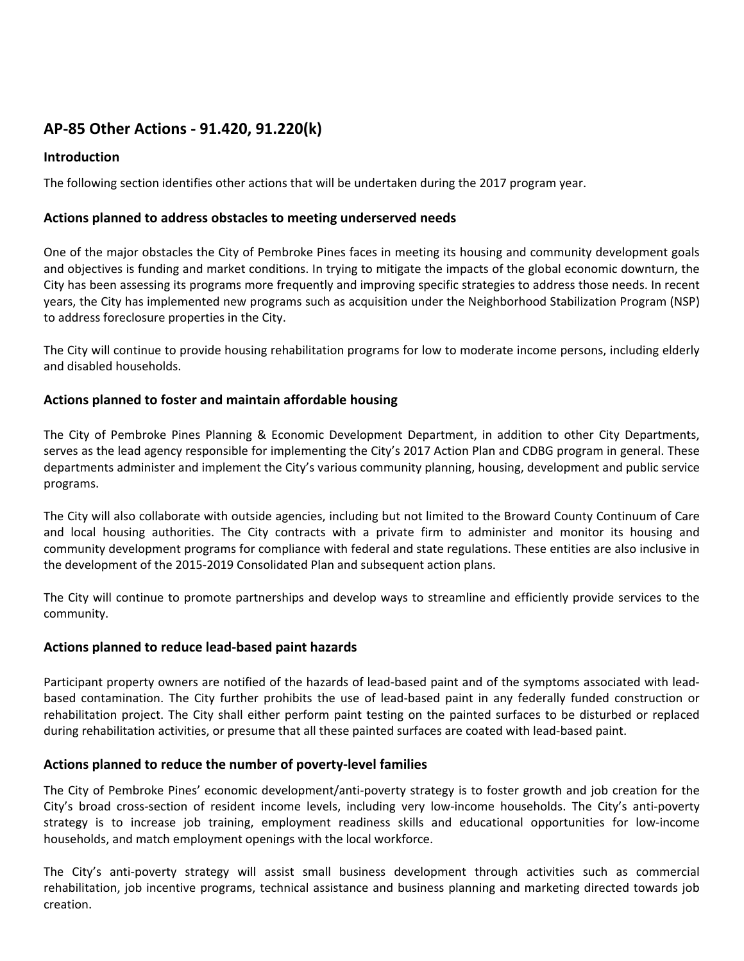# **AP‐85 Other Actions ‐ 91.420, 91.220(k)**

## **Introduction**

The following section identifies other actions that will be undertaken during the 2017 program year.

#### **Actions planned to address obstacles to meeting underserved needs**

One of the major obstacles the City of Pembroke Pines faces in meeting its housing and community development goals and objectives is funding and market conditions. In trying to mitigate the impacts of the global economic downturn, the City has been assessing its programs more frequently and improving specific strategies to address those needs. In recent years, the City has implemented new programs such as acquisition under the Neighborhood Stabilization Program (NSP) to address foreclosure properties in the City.

The City will continue to provide housing rehabilitation programs for low to moderate income persons, including elderly and disabled households.

#### **Actions planned to foster and maintain affordable housing**

The City of Pembroke Pines Planning & Economic Development Department, in addition to other City Departments, serves as the lead agency responsible for implementing the City's 2017 Action Plan and CDBG program in general. These departments administer and implement the City's various community planning, housing, development and public service programs.

The City will also collaborate with outside agencies, including but not limited to the Broward County Continuum of Care and local housing authorities. The City contracts with a private firm to administer and monitor its housing and community development programs for compliance with federal and state regulations. These entities are also inclusive in the development of the 2015‐2019 Consolidated Plan and subsequent action plans.

The City will continue to promote partnerships and develop ways to streamline and efficiently provide services to the community.

#### **Actions planned to reduce lead‐based paint hazards**

Participant property owners are notified of the hazards of lead‐based paint and of the symptoms associated with lead‐ based contamination. The City further prohibits the use of lead‐based paint in any federally funded construction or rehabilitation project. The City shall either perform paint testing on the painted surfaces to be disturbed or replaced during rehabilitation activities, or presume that all these painted surfaces are coated with lead‐based paint.

#### **Actions planned to reduce the number of poverty‐level families**

The City of Pembroke Pines' economic development/anti‐poverty strategy is to foster growth and job creation for the City's broad cross‐section of resident income levels, including very low‐income households. The City's anti‐poverty strategy is to increase job training, employment readiness skills and educational opportunities for low‐income households, and match employment openings with the local workforce.

The City's anti-poverty strategy will assist small business development through activities such as commercial rehabilitation, job incentive programs, technical assistance and business planning and marketing directed towards job creation.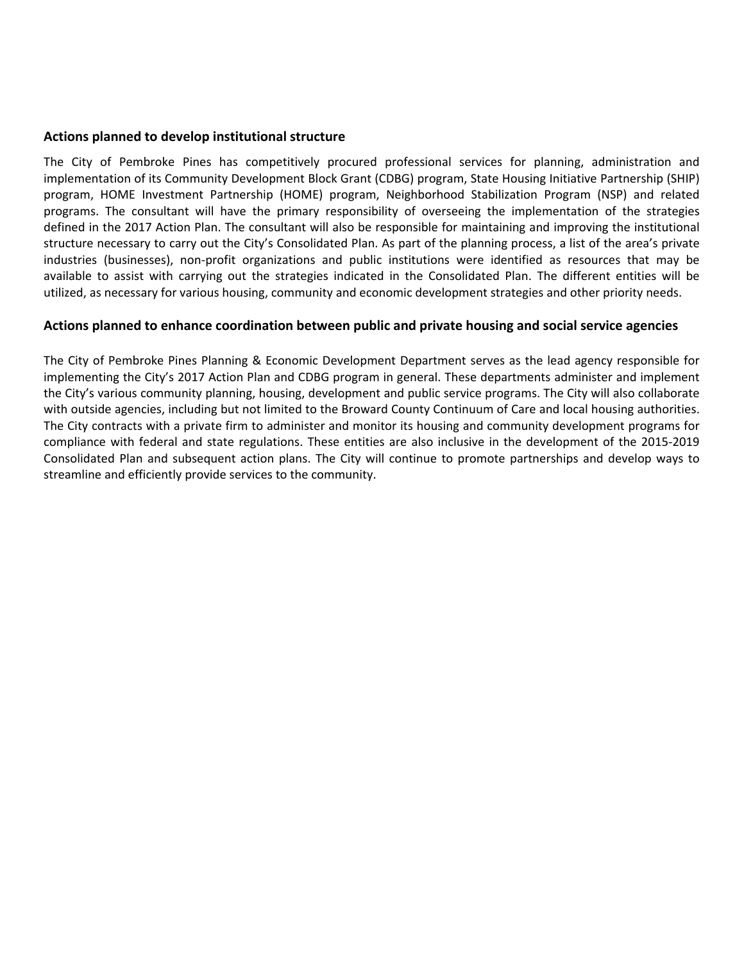#### **Actions planned to develop institutional structure**

The City of Pembroke Pines has competitively procured professional services for planning, administration and implementation of its Community Development Block Grant (CDBG) program, State Housing Initiative Partnership (SHIP) program, HOME Investment Partnership (HOME) program, Neighborhood Stabilization Program (NSP) and related programs. The consultant will have the primary responsibility of overseeing the implementation of the strategies defined in the 2017 Action Plan. The consultant will also be responsible for maintaining and improving the institutional structure necessary to carry out the City's Consolidated Plan. As part of the planning process, a list of the area's private industries (businesses), non‐profit organizations and public institutions were identified as resources that may be available to assist with carrying out the strategies indicated in the Consolidated Plan. The different entities will be utilized, as necessary for various housing, community and economic development strategies and other priority needs.

#### **Actions planned to enhance coordination between public and private housing and social service agencies**

The City of Pembroke Pines Planning & Economic Development Department serves as the lead agency responsible for implementing the City's 2017 Action Plan and CDBG program in general. These departments administer and implement the City's various community planning, housing, development and public service programs. The City will also collaborate with outside agencies, including but not limited to the Broward County Continuum of Care and local housing authorities. The City contracts with a private firm to administer and monitor its housing and community development programs for compliance with federal and state regulations. These entities are also inclusive in the development of the 2015‐2019 Consolidated Plan and subsequent action plans. The City will continue to promote partnerships and develop ways to streamline and efficiently provide services to the community.